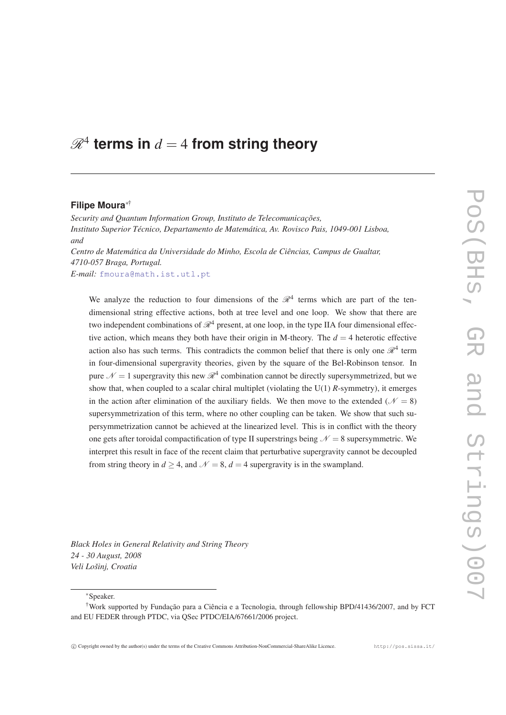# $\mathscr{R}^4$  terms in  $d=4$  from string theory

#### **Filipe Moura**∗†

*Security and Quantum Information Group, Instituto de Telecomunicações, Instituto Superior Técnico, Departamento de Matemática, Av. Rovisco Pais, 1049-001 Lisboa, and Centro de Matemática da Universidade do Minho, Escola de Ciências, Campus de Gualtar, 4710-057 Braga, Portugal.*

*E-mail:* [fmoura@math.ist.utl.pt](mailto:fmoura@math.ist.utl.pt)

We analyze the reduction to four dimensions of the  $\mathcal{R}^4$  terms which are part of the tendimensional string effective actions, both at tree level and one loop. We show that there are two independent combinations of  $\mathcal{R}^4$  present, at one loop, in the type IIA four dimensional effective action, which means they both have their origin in M-theory. The  $d = 4$  heterotic effective action also has such terms. This contradicts the common belief that there is only one  $\mathcal{R}^4$  term in four-dimensional supergravity theories, given by the square of the Bel-Robinson tensor. In pure  $\mathcal{N}=1$  supergravity this new  $\mathcal{R}^4$  combination cannot be directly supersymmetrized, but we show that, when coupled to a scalar chiral multiplet (violating the U(1) *R*-symmetry), it emerges in the action after elimination of the auxiliary fields. We then move to the extended ( $\mathcal{N} = 8$ ) supersymmetrization of this term, where no other coupling can be taken. We show that such supersymmetrization cannot be achieved at the linearized level. This is in conflict with the theory one gets after toroidal compactification of type II superstrings being  $\mathcal{N} = 8$  supersymmetric. We interpret this result in face of the recent claim that perturbative supergravity cannot be decoupled from string theory in  $d > 4$ , and  $\mathcal{N} = 8$ ,  $d = 4$  supergravity is in the swampland.

*Black Holes in General Relativity and String Theory 24 - 30 August, 2008 Veli Lošinj, Croatia*

<sup>∗</sup>Speaker.

<sup>†</sup>Work supported by Fundação para a Ciência e a Tecnologia, through fellowship BPD/41436/2007, and by FCT and EU FEDER through PTDC, via QSec PTDC/EIA/67661/2006 project.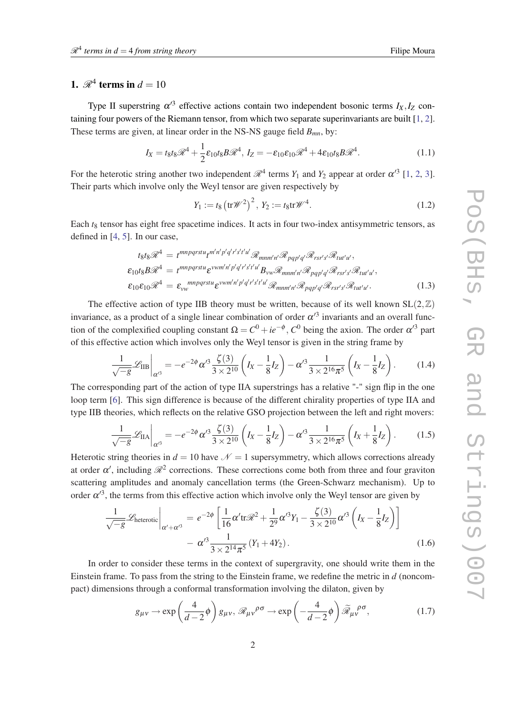# <span id="page-1-0"></span>1.  $\mathcal{R}^4$  terms in  $d = 10$

Type II superstring  $\alpha'^3$  effective actions contain two independent bosonic terms  $I_X, I_Z$  containing four powers of the Riemann tensor, from which two separate superinvariants are built [[1](#page-18-0), [2\]](#page-18-0). These terms are given, at linear order in the NS-NS gauge field *Bmn*, by:

$$
I_X = t_8 t_8 \mathcal{R}^4 + \frac{1}{2} \varepsilon_{10} t_8 B \mathcal{R}^4, I_Z = -\varepsilon_{10} \varepsilon_{10} \mathcal{R}^4 + 4\varepsilon_{10} t_8 B \mathcal{R}^4.
$$
 (1.1)

For the heterotic string another two independent  $\mathcal{R}^4$  terms  $Y_1$  $Y_1$  and  $Y_2$  $Y_2$  appear at order  $\alpha'^3$  [1, 2, [3\]](#page-18-0). Their parts which involve only the Weyl tensor are given respectively by

$$
Y_1 := t_8 \left( \text{tr} \mathcal{W}^2 \right)^2, \ Y_2 := t_8 \text{tr} \mathcal{W}^4. \tag{1.2}
$$

Each  $t_8$  tensor has eight free spacetime indices. It acts in four two-index antisymmetric tensors, as defined in [\[4](#page-18-0), [5](#page-18-0)]. In our case,

$$
t_{8}t_{8}\mathcal{R}^{4} = t^{mnpqrstu}t^{m'n'p'q'r's't'u'}\mathcal{R}_{mnm'n'}\mathcal{R}_{pqp'q'}\mathcal{R}_{rsr's'}\mathcal{R}_{tut'u'},
$$
  
\n
$$
\epsilon_{10}t_{8}B\mathcal{R}^{4} = t^{mnpqrstu}\epsilon^{vwm'n'p'q'r's't'u'}B_{vw}\mathcal{R}_{mnm'n'}\mathcal{R}_{pqp'q'}\mathcal{R}_{rsr's'}\mathcal{R}_{tut'u'},
$$
  
\n
$$
\epsilon_{10}\epsilon_{10}\mathcal{R}^{4} = \epsilon_{vw}^{mnpqrstu}\epsilon^{vwm'n'p'q'r's't'u'}\mathcal{R}_{mnm'n'}\mathcal{R}_{pqp'q'}\mathcal{R}_{rsr's'}\mathcal{R}_{tut'u'}.
$$
\n(1.3)

The effective action of type IIB theory must be written, because of its well known  $SL(2,\mathbb{Z})$ invariance, as a product of a single linear combination of order  $\alpha'^3$  invariants and an overall function of the complexified coupling constant  $\Omega = C^0 + ie^{-\phi}$ ,  $C^0$  being the axion. The order  $\alpha'^3$  part of this effective action which involves only the Weyl tensor is given in the string frame by

$$
\frac{1}{\sqrt{-g}}\mathscr{L}_{\text{IIB}}\bigg|_{\alpha'^3} = -e^{-2\phi}\alpha'^3 \frac{\zeta(3)}{3 \times 2^{10}} \left(I_X - \frac{1}{8}I_Z\right) - \alpha'^3 \frac{1}{3 \times 2^{16} \pi^5} \left(I_X - \frac{1}{8}I_Z\right). \tag{1.4}
$$

The corresponding part of the action of type IIA superstrings has a relative "-" sign flip in the one loop term [[6](#page-18-0)]. This sign difference is because of the different chirality properties of type IIA and type IIB theories, which reflects on the relative GSO projection between the left and right movers:

$$
\frac{1}{\sqrt{-g}}\mathscr{L}_{\text{IIA}}\bigg|_{\alpha'^3} = -e^{-2\phi}\alpha'^3 \frac{\zeta(3)}{3 \times 2^{10}} \left(I_X - \frac{1}{8}I_Z\right) - \alpha'^3 \frac{1}{3 \times 2^{16} \pi^5} \left(I_X + \frac{1}{8}I_Z\right). \tag{1.5}
$$

Heterotic string theories in  $d = 10$  have  $\mathcal{N} = 1$  supersymmetry, which allows corrections already at order  $\alpha'$ , including  $\mathcal{R}^2$  corrections. These corrections come both from three and four graviton scattering amplitudes and anomaly cancellation terms (the Green-Schwarz mechanism). Up to order  $\alpha'^3$ , the terms from this effective action which involve only the Weyl tensor are given by

$$
\frac{1}{\sqrt{-g}}\mathcal{L}_{\text{heterotic}}\Big|_{\alpha'+\alpha'^3} = e^{-2\phi} \left[ \frac{1}{16} \alpha' \text{tr} \mathcal{R}^2 + \frac{1}{2^9} \alpha'^3 Y_1 - \frac{\zeta(3)}{3 \times 2^{10}} \alpha'^3 \left( I_X - \frac{1}{8} I_Z \right) \right] \n- \alpha'^3 \frac{1}{3 \times 2^{14} \pi^5} \left( Y_1 + 4 Y_2 \right). \tag{1.6}
$$

In order to consider these terms in the context of supergravity, one should write them in the Einstein frame. To pass from the string to the Einstein frame, we redefine the metric in *d* (noncompact) dimensions through a conformal transformation involving the dilaton, given by

$$
g_{\mu\nu} \to \exp\left(\frac{4}{d-2}\phi\right)g_{\mu\nu}, \mathscr{R}_{\mu\nu}{}^{\rho\sigma} \to \exp\left(-\frac{4}{d-2}\phi\right)\widetilde{\mathscr{R}}_{\mu\nu}{}^{\rho\sigma},\tag{1.7}
$$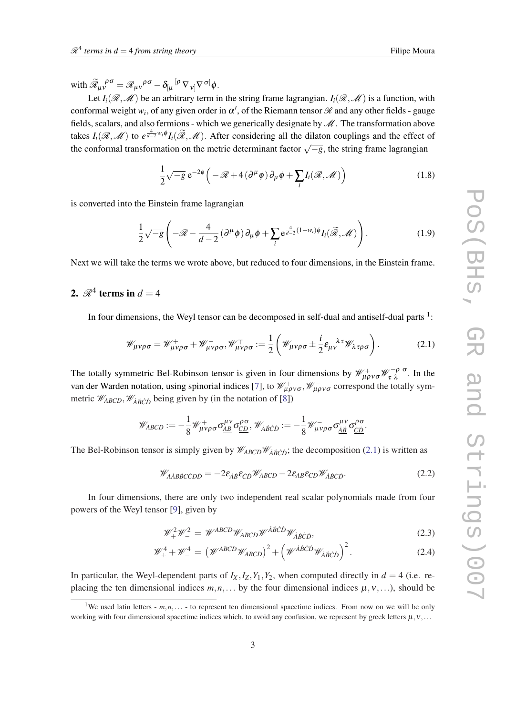<span id="page-2-0"></span>with  $\widetilde{\mathcal{R}}_{\mu\nu}^{\ \ \rho\sigma} = \mathcal{R}_{\mu\nu}^{\ \ \rho\sigma} - \delta_{\left[\mu\right.}^{\left[\rho\right.}\nabla_{\left. v\right]}^{\left.\right.}\nabla^{\left.\sigma\right]}\phi.$ 

Let  $I_i(\mathcal{R},\mathcal{M})$  be an arbitrary term in the string frame lagrangian.  $I_i(\mathcal{R},\mathcal{M})$  is a function, with conformal weight  $w_i$ , of any given order in  $\alpha'$ , of the Riemann tensor  $\mathscr R$  and any other fields - gauge fields, scalars, and also fermions - which we generically designate by  $\mathcal M$ . The transformation above takes  $I_i(\mathcal{R}, \mathcal{M})$  to  $e^{\frac{4}{d-2}w_i\phi}I_i(\widetilde{\mathcal{R}}, \mathcal{M})$ . After considering all the dilaton couplings and the effect of the conformal transformation on the metric determinant factor  $\sqrt{-g}$ , the string frame lagrangian

$$
\frac{1}{2}\sqrt{-g} e^{-2\phi} \left( -\mathcal{R} + 4(\partial^{\mu} \phi) \partial_{\mu} \phi + \sum_{i} I_{i}(\mathcal{R}, \mathcal{M}) \right)
$$
(1.8)

is converted into the Einstein frame lagrangian

$$
\frac{1}{2}\sqrt{-g}\left(-\mathcal{R}-\frac{4}{d-2}\left(\partial^{\mu}\phi\right)\partial_{\mu}\phi+\sum_{i}e^{\frac{4}{d-2}\left(1+w_{i}\right)\phi}I_{i}(\widetilde{\mathcal{R}},\mathcal{M})\right).
$$
(1.9)

Next we will take the terms we wrote above, but reduced to four dimensions, in the Einstein frame.

# 2.  $\mathscr{R}^4$  terms in  $d = 4$

In four dimensions, the Weyl tensor can be decomposed in self-dual and antiself-dual parts  $1$ :

$$
\mathscr{W}_{\mu\nu\rho\sigma} = \mathscr{W}_{\mu\nu\rho\sigma}^+ + \mathscr{W}_{\mu\nu\rho\sigma}^-,\mathscr{W}_{\mu\nu\rho\sigma}^+ := \frac{1}{2} \left( \mathscr{W}_{\mu\nu\rho\sigma} \pm \frac{i}{2} \varepsilon_{\mu\nu}^{\lambda\tau} \mathscr{W}_{\lambda\tau\rho\sigma} \right). \tag{2.1}
$$

The totally symmetric Bel-Robinson tensor is given in four dimensions by  $\mathcal{W}_{\mu\rho\nu\sigma}^+ \mathcal{W}_{\tau\lambda}^{-\rho\sigma}$ . In the van der Warden notation, using spinorial indices [[7](#page-18-0)], to  $\mathcal{W}^+_{\mu\rho\nu\sigma}$ ,  $\mathcal{W}^-_{\mu\rho\nu\sigma}$  correspond the totally symmetric  $\mathcal{W}_{ABCD}$ ,  $\mathcal{W}_{\dot{A}\dot{B}\dot{C}\dot{D}}$  being given by (in the notation of [[8](#page-18-0)])

$$
\mathscr{W}_{ABCD}:=-\frac{1}{8}\mathscr{W}_{\mu\nu\rho\sigma}^{+}\sigma_{\underline{AB}}^{\mu\nu}\sigma_{\underline{CD}}^{\rho\sigma},\mathscr{W}_{\dot{A}\dot{B}\dot{C}\dot{D}}:=-\frac{1}{8}\mathscr{W}_{\mu\nu\rho\sigma}^{-}\sigma_{\underline{A}\underline{B}}^{\mu\nu}\sigma_{\underline{CD}}^{\rho\sigma}.
$$

The Bel-Robinson tensor is simply given by  $\mathcal{W}_{ABCD}\mathcal{W}_{\dot{A}\dot{B}\dot{C}\dot{D}}$ ; the decomposition (2.1) is written as

$$
\mathcal{W}_{\dot{A}\dot{A}\dot{B}\dot{B}\dot{C}\dot{C}D\dot{D}} = -2\varepsilon_{\dot{A}\dot{B}}\varepsilon_{\dot{C}\dot{D}}\mathcal{W}_{ABCD} - 2\varepsilon_{AB}\varepsilon_{CD}\mathcal{W}_{\dot{A}\dot{B}\dot{C}\dot{D}}.\tag{2.2}
$$

In four dimensions, there are only two independent real scalar polynomials made from four powers of the Weyl tensor [[9\]](#page-18-0), given by

$$
\mathcal{W}^2_+\mathcal{W}^2_- = \mathcal{W}^{ABCD}\mathcal{W}_{ABCD}\mathcal{W}^{\dot{A}\dot{B}\dot{C}\dot{D}}\mathcal{W}_{\dot{A}\dot{B}\dot{C}\dot{D}},\tag{2.3}
$$

$$
\mathcal{W}_{+}^{4} + \mathcal{W}_{-}^{4} = \left(\mathcal{W}^{ABCD}\mathcal{W}_{ABCD}\right)^{2} + \left(\mathcal{W}^{\dot{A}\dot{B}\dot{C}\dot{D}}\mathcal{W}_{\dot{A}\dot{B}\dot{C}\dot{D}}\right)^{2}.
$$
 (2.4)

In particular, the Weyl-dependent parts of  $I_X, I_Z, Y_1, Y_2$ , when computed directly in  $d = 4$  (i.e. replacing the ten dimensional indices  $m, n, \ldots$  by the four dimensional indices  $\mu, v, \ldots$ ), should be

<sup>&</sup>lt;sup>1</sup>We used latin letters -  $m, n, \ldots$  to represent ten dimensional spacetime indices. From now on we will be only working with four dimensional spacetime indices which, to avoid any confusion, we represent by greek letters  $\mu, \nu, \ldots$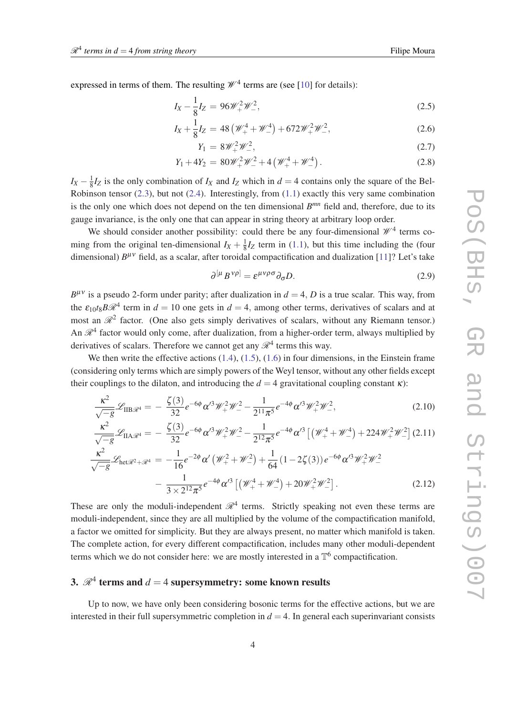<span id="page-3-0"></span>expressed in terms of them. The resulting  $\mathcal{W}^4$  terms are (see [\[10](#page-19-0)] for details):

$$
I_X - \frac{1}{8}I_Z = 96\mathcal{W}_+^2\mathcal{W}_-^2,\tag{2.5}
$$

$$
I_X + \frac{1}{8}I_Z = 48 \left(\mathcal{W}_+^4 + \mathcal{W}_-^4\right) + 672 \mathcal{W}_+^2 \mathcal{W}_-^2,\tag{2.6}
$$

$$
Y_1 = 8\mathscr{W}_+^2 \mathscr{W}_-^2,\tag{2.7}
$$

$$
Y_1 + 4Y_2 = 80\mathcal{W}^2_+\mathcal{W}^2_- + 4\left(\mathcal{W}^4_+ + \mathcal{W}^4_-\right). \tag{2.8}
$$

 $I_X - \frac{1}{8}$  $\frac{1}{8}I_Z$  is the only combination of  $I_X$  and  $I_Z$  which in  $d = 4$  contains only the square of the Bel-Robinson tensor ([2.3](#page-2-0)), but not ([2.4](#page-2-0)). Interestingly, from ([1.1](#page-1-0)) exactly this very same combination is the only one which does not depend on the ten dimensional  $B^{mn}$  field and, therefore, due to its gauge invariance, is the only one that can appear in string theory at arbitrary loop order.

We should consider another possibility: could there be any four-dimensional  $\mathcal{W}^4$  terms coming from the original ten-dimensional  $I_X + \frac{1}{8}$  $\frac{1}{8}I_Z$  term in ([1.1](#page-1-0)), but this time including the (four dimensional)  $B^{\mu\nu}$  field, as a scalar, after toroidal compactification and dualization [\[11\]](#page-19-0)? Let's take

$$
\partial^{[\mu} B^{\nu \rho]} = \varepsilon^{\mu \nu \rho \sigma} \partial_{\sigma} D. \tag{2.9}
$$

 $B^{\mu\nu}$  is a pseudo 2-form under parity; after dualization in  $d = 4$ , *D* is a true scalar. This way, from the  $\varepsilon_{10}t_8B\mathcal{R}^4$  term in  $d=10$  one gets in  $d=4$ , among other terms, derivatives of scalars and at most an  $\mathcal{R}^2$  factor. (One also gets simply derivatives of scalars, without any Riemann tensor.) An  $\mathcal{R}^4$  factor would only come, after dualization, from a higher-order term, always multiplied by derivatives of scalars. Therefore we cannot get any  $\mathcal{R}^4$  terms this way.

We then write the effective actions  $(1.4)$  $(1.4)$  $(1.4)$ ,  $(1.5)$ ,  $(1.6)$  $(1.6)$  in four dimensions, in the Einstein frame (considering only terms which are simply powers of the Weyl tensor, without any other fields except their couplings to the dilaton, and introducing the  $d = 4$  gravitational coupling constant  $\kappa$ ):

$$
\frac{\kappa^2}{\sqrt{-g}} \mathcal{L}_{\text{IIB}\mathscr{R}^4} = -\frac{\zeta(3)}{32} e^{-6\phi} \alpha'^3 \mathscr{W}_+^2 \mathscr{W}_-^2 - \frac{1}{2^{11} \pi^5} e^{-4\phi} \alpha'^3 \mathscr{W}_+^2 \mathscr{W}_-^2,\tag{2.10}
$$

$$
\frac{\kappa^2}{\sqrt{-g}}\mathcal{L}_{\text{IIA}\mathscr{R}^4} = -\frac{\zeta(3)}{32}e^{-6\phi}\alpha'^3\mathscr{W}_+^2\mathscr{W}_-^2 - \frac{1}{2^{12}\pi^5}e^{-4\phi}\alpha'^3\left[\left(\mathscr{W}_+^4 + \mathscr{W}_-^4\right) + 224\mathscr{W}_+^2\mathscr{W}_-^2\right](2.11)
$$
  

$$
\frac{\kappa^2}{\sqrt{-g}}\mathcal{L}_{\text{het}\mathscr{R}^2 + \mathscr{R}^4} = -\frac{1}{16}e^{-2\phi}\alpha'\left(\mathscr{W}_+^2 + \mathscr{W}_-^2\right) + \frac{1}{64}\left(1 - 2\zeta(3)\right)e^{-6\phi}\alpha'^3\mathscr{W}_+^2\mathscr{W}_-^2
$$

$$
-\frac{1}{3\times 2^{12}\pi^5}e^{-4\phi}\alpha'^3\left[\left(\mathscr{W}_+^4 + \mathscr{W}_-^4\right) + 20\mathscr{W}_+^2\mathscr{W}_-^2\right].\tag{2.12}
$$

These are only the moduli-independent  $\mathcal{R}^4$  terms. Strictly speaking not even these terms are moduli-independent, since they are all multiplied by the volume of the compactification manifold, a factor we omitted for simplicity. But they are always present, no matter which manifold is taken. The complete action, for every different compactification, includes many other moduli-dependent terms which we do not consider here: we are mostly interested in a  $\mathbb{T}^6$  compactification.

# 3.  $\mathscr{R}^4$  terms and  $d=4$  supersymmetry: some known results

Up to now, we have only been considering bosonic terms for the effective actions, but we are interested in their full supersymmetric completion in  $d = 4$ . In general each superinvariant consists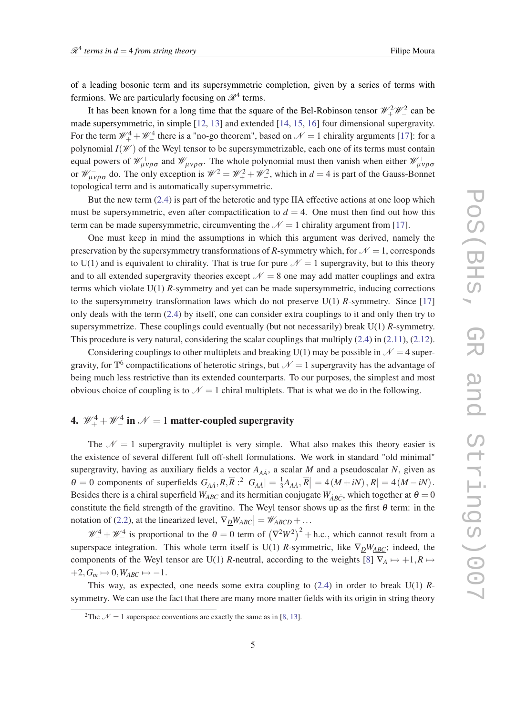of a leading bosonic term and its supersymmetric completion, given by a series of terms with fermions. We are particularly focusing on  $\mathcal{R}^4$  terms.

It has been known for a long time that the square of the Bel-Robinson tensor  $\mathcal{W}_+^2 \mathcal{W}_-^2$  can be made supersymmetric, in simple [\[12](#page-19-0), [13\]](#page-19-0) and extended [[14,](#page-19-0) [15](#page-19-0), [16\]](#page-19-0) four dimensional supergravity. For the term  $\mathcal{W}_+^4 + \mathcal{W}_-^4$  there is a "no-go theorem", based on  $\mathcal{N} = 1$  chirality arguments [[17\]](#page-19-0): for a polynomial  $I(\mathcal{W})$  of the Weyl tensor to be supersymmetrizable, each one of its terms must contain equal powers of  $\mathcal{W}_{\mu\nu\rho\sigma}^+$  and  $\mathcal{W}_{\mu\nu\rho\sigma}^-$ . The whole polynomial must then vanish when either  $\mathcal{W}_{\mu\nu\rho\sigma}^+$ or  $\mathcal{W}^-_{\mu\nu\rho\sigma}$  do. The only exception is  $\mathcal{W}^2 = \mathcal{W}^2_+ + \mathcal{W}^2_-$ , which in  $d = 4$  is part of the Gauss-Bonnet topological term and is automatically supersymmetric.

But the new term  $(2.4)$  $(2.4)$  is part of the heterotic and type IIA effective actions at one loop which must be supersymmetric, even after compactification to  $d = 4$ . One must then find out how this term can be made supersymmetric, circumventing the  $\mathcal{N} = 1$  chirality argument from [[17\]](#page-19-0).

One must keep in mind the assumptions in which this argument was derived, namely the preservation by the supersymmetry transformations of *R*-symmetry which, for  $\mathcal{N} = 1$ , corresponds to U(1) and is equivalent to chirality. That is true for pure  $\mathcal{N} = 1$  supergravity, but to this theory and to all extended supergravity theories except  $\mathcal{N} = 8$  one may add matter couplings and extra terms which violate U(1) *R*-symmetry and yet can be made supersymmetric, inducing corrections to the supersymmetry transformation laws which do not preserve U(1) *R*-symmetry. Since [\[17](#page-19-0)] only deals with the term [\(2.4](#page-2-0)) by itself, one can consider extra couplings to it and only then try to supersymmetrize. These couplings could eventually (but not necessarily) break U(1) *R*-symmetry. This procedure is very natural, considering the scalar couplings that multiply  $(2.4)$  $(2.4)$  in  $(2.11)$  $(2.11)$  $(2.11)$ ,  $(2.12)$ .

Considering couplings to other multiplets and breaking U(1) may be possible in  $\mathcal{N} = 4$  supergravity, for  $\mathbb{T}^6$  compactifications of heterotic strings, but  $\mathcal{N}=1$  supergravity has the advantage of being much less restrictive than its extended counterparts. To our purposes, the simplest and most obvious choice of coupling is to  $\mathcal{N} = 1$  chiral multiplets. That is what we do in the following.

# 4.  $\mathscr{W}_+^4+\mathscr{W}_-^4$  in  $\mathscr{N}=1$  matter-coupled supergravity

The  $N = 1$  supergravity multiplet is very simple. What also makes this theory easier is the existence of several different full off-shell formulations. We work in standard "old minimal" supergravity, having as auxiliary fields a vector  $A_{A\dot{A}}$ , a scalar *M* and a pseudoscalar *N*, given as  $\theta = 0$  components of superfields  $G_{A\dot{A}}$ ,  $R$ ,  $\overline{R}$  :<sup>2</sup>  $G_{A\dot{A}}$  =  $\frac{1}{3}$  $\frac{1}{3}A_{A\dot{A}}, \overline{R}$  = 4 (*M* + *iN*), *R* | = 4 (*M* − *iN*). Besides there is a chiral superfield  $W_{ABC}$  and its hermitian conjugate  $W_{\dot{A}\dot{B}\dot{C}}$ , which together at  $\theta = 0$ constitute the field strength of the gravitino. The Weyl tensor shows up as the first  $\theta$  term: in the notation of [\(2.2\)](#page-2-0), at the linearized level,  $\nabla_{\underline{D}}W_{\underline{A}B\underline{C}} = W_{\underline{A}BCD} + \dots$ 

 $\mathcal{W}_+^4 + \mathcal{W}_-^4$  is proportional to the  $\theta = 0$  term of  $(\nabla^2 W^2)^2 + h.c.,$  which cannot result from a superspace integration. This whole term itself is U(1) *R*-symmetric, like  $\nabla_D W_{ABC}$ ; indeed, the components of the Weyl tensor are U(1) *R*-neutral, according to the weights [[8](#page-18-0)]  $\nabla_A \mapsto +1, R \mapsto$  $+2, G_m \mapsto 0, W_{ABC} \mapsto -1.$ 

This way, as expected, one needs some extra coupling to [\(2.4](#page-2-0)) in order to break U(1) *R*symmetry. We can use the fact that there are many more matter fields with its origin in string theory

<sup>&</sup>lt;sup>2</sup>The  $\mathcal{N} = 1$  superspace conventions are exactly the same as in [\[8,](#page-18-0) [13](#page-19-0)].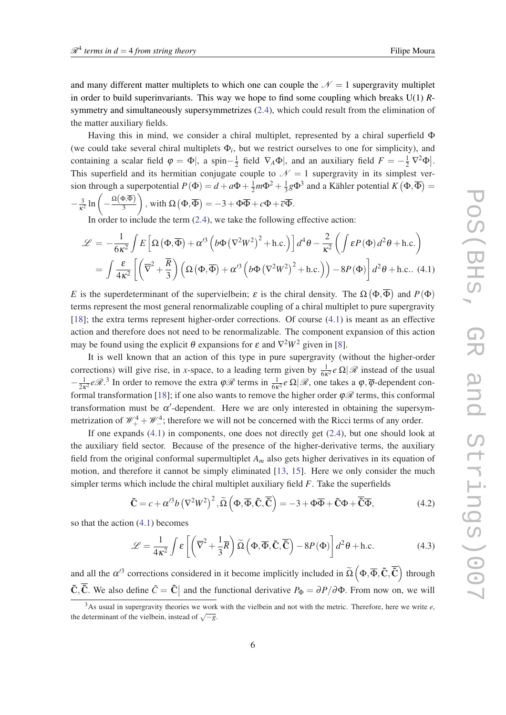<span id="page-5-0"></span>and many different matter multiplets to which one can couple the  $\mathcal{N} = 1$  supergravity multiplet in order to build superinvariants. This way we hope to find some coupling which breaks U(1) *R*symmetry and simultaneously supersymmetrizes ([2.4\)](#page-2-0), which could result from the elimination of the matter auxiliary fields.

Having this in mind, we consider a chiral multiplet, represented by a chiral superfield Φ (we could take several chiral multiplets  $\Phi_i$ , but we restrict ourselves to one for simplicity), and containing a scalar field  $\varphi = \Phi$ , a spin $-\frac{1}{2}$  $\frac{1}{2}$  field  $\nabla_A \Phi$ , and an auxiliary field  $F = -\frac{1}{2} \nabla^2 \Phi$ . This superfield and its hermitian conjugate couple to  $\mathcal{N} = 1$  supergravity in its simplest version through a superpotential  $P(\Phi) = d + a\Phi + \frac{1}{2}m\Phi^2 + \frac{1}{3}$  $\frac{1}{3}$ *g* $\Phi$ <sup>3</sup> and a Kähler potential *K*  $(\Phi, \overline{\Phi}) =$  $-\frac{3}{\omega}$  $\frac{3}{\kappa^2} \ln \left( -\frac{\Omega(\Phi,\overline{\Phi})}{3} \right)$ 3  $\left( \phi, \overline{\Phi} \right) = -3 + \Phi \overline{\Phi} + c \Phi + \overline{c} \overline{\Phi}.$ 

In order to include the term  $(2.4)$  $(2.4)$  $(2.4)$ , we take the following effective action:

$$
\mathcal{L} = -\frac{1}{6\kappa^2} \int E\left[\Omega\left(\Phi,\overline{\Phi}\right) + \alpha'^3 \left(b\Phi\left(\nabla^2 W^2\right)^2 + \text{h.c.}\right)\right] d^4\theta - \frac{2}{\kappa^2} \left(\int \varepsilon P(\Phi) d^2\theta + \text{h.c.}\right)
$$

$$
= \int \frac{\varepsilon}{4\kappa^2} \left[\left(\overline{\nabla}^2 + \frac{\overline{R}}{3}\right) \left(\Omega\left(\Phi,\overline{\Phi}\right) + \alpha'^3 \left(b\Phi\left(\nabla^2 W^2\right)^2 + \text{h.c.}\right)\right) - 8P(\Phi)\right] d^2\theta + \text{h.c.} \tag{4.1}
$$

*E* is the superdeterminant of the supervielbein;  $\varepsilon$  is the chiral density. The  $\Omega(\Phi,\overline{\Phi})$  and  $P(\Phi)$ terms represent the most general renormalizable coupling of a chiral multiplet to pure supergravity [[18\]](#page-19-0); the extra terms represent higher-order corrections. Of course (4.1) is meant as an effective action and therefore does not need to be renormalizable. The component expansion of this action may be found using the explicit  $\theta$  expansions for  $\varepsilon$  and  $\nabla^2 W^2$  given in [[8](#page-18-0)].

It is well known that an action of this type in pure supergravity (without the higher-order corrections) will give rise, in *x*-space, to a leading term given by  $\frac{1}{6\kappa^2}e\Omega/\mathcal{R}$  instead of the usual  $-\frac{1}{2}$  $\frac{1}{2\kappa^2}e\mathcal{R}^3$ . In order to remove the extra  $\varphi\mathcal{R}$  terms in  $\frac{1}{6\kappa^2}e\Omega|\mathcal{R}$ , one takes a  $\varphi$ ,  $\overline{\varphi}$ -dependent con-formal transformation [\[18](#page-19-0)]; if one also wants to remove the higher order  $\varphi \mathscr{R}$  terms, this conformal transformation must be  $\alpha'$ -dependent. Here we are only interested in obtaining the supersymmetrization of  $\mathcal{W}_+^4 + \mathcal{W}_-^4$ ; therefore we will not be concerned with the Ricci terms of any order.

If one expands (4.1) in components, one does not directly get ([2.4](#page-2-0)), but one should look at the auxiliary field sector. Because of the presence of the higher-derivative terms, the auxiliary field from the original conformal supermultiplet *A<sup>m</sup>* also gets higher derivatives in its equation of motion, and therefore it cannot be simply eliminated [[13,](#page-19-0) [15\]](#page-19-0). Here we only consider the much simpler terms which include the chiral multiplet auxiliary field *F*. Take the superfields

$$
\tilde{\mathbf{C}} = c + \alpha'^3 b \left( \nabla^2 W^2 \right)^2, \tilde{\Omega} \left( \Phi, \overline{\Phi}, \tilde{\mathbf{C}}, \overline{\tilde{\mathbf{C}}} \right) = -3 + \Phi \overline{\Phi} + \tilde{\mathbf{C}} \Phi + \overline{\tilde{\mathbf{C}}} \overline{\Phi},\tag{4.2}
$$

so that the action (4.1) becomes

$$
\mathcal{L} = \frac{1}{4\kappa^2} \int \mathcal{E} \left[ \left( \overline{\nabla}^2 + \frac{1}{3} \overline{R} \right) \widetilde{\Omega} \left( \Phi, \overline{\Phi}, \widetilde{\mathbf{C}}, \overline{\widetilde{\mathbf{C}}} \right) - 8P(\Phi) \right] d^2 \theta + \text{h.c.}
$$
 (4.3)

and all the  $\alpha'^3$  corrections considered in it become implicitly included in  $\tilde{\Omega}(\Phi,\overline{\Phi},\tilde{\mathbb{C}},\overline{\tilde{\mathbb{C}}})$  through  $\tilde{C}$ ,  $\tilde{C}$ . We also define  $\tilde{C} = \tilde{C}$  and the functional derivative  $P_{\Phi} = \partial P / \partial \Phi$ . From now on, we will

 $3$ As usual in supergravity theories we work with the vielbein and not with the metric. Therefore, here we write  $e$ , the determinant of the vielbein, instead of  $\sqrt{-g}$ .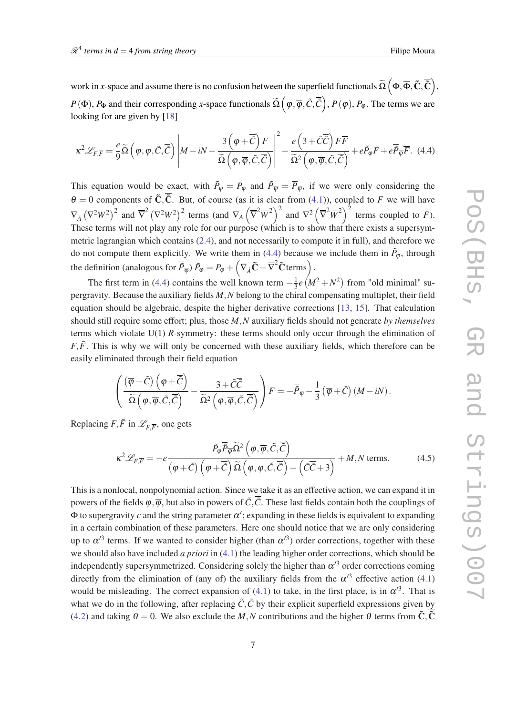work in *x*-space and assume there is no confusion between the superfield functionals  $\widetilde{\Omega}\left(\Phi,\overline{\Phi},\mathbf{\tilde{C}},\mathbf{\overline{\tilde{C}}}\right)$ ,  $P(\Phi)$ ,  $P_{\Phi}$  and their corresponding *x*-space functionals  $\widetilde{\Omega}\left(\varphi,\overline{\varphi},\tilde{C},\overline{\tilde{C}}\right)$ ,  $P(\varphi),P_{\varphi}$ . The terms we are looking for are given by [[18\]](#page-19-0)

$$
\kappa^2 \mathscr{L}_{F,\overline{F}} = \frac{e}{9} \widetilde{\Omega} \left( \varphi, \overline{\varphi}, \widetilde{C}, \overline{\widetilde{C}} \right) \left| M - iN - \frac{3 \left( \varphi + \overline{\widetilde{C}} \right) F}{\widetilde{\Omega} \left( \varphi, \overline{\varphi}, \widetilde{C}, \overline{\widetilde{C}} \right)} \right|^2 - \frac{e \left( 3 + \widetilde{C} \overline{\widetilde{C}} \right) F \overline{F}}{\widetilde{\Omega}^2 \left( \varphi, \overline{\varphi}, \widetilde{C}, \overline{\widetilde{C}} \right)} + e \widetilde{P}_{\varphi} F + e \overline{\widetilde{P}_{\overline{\varphi}}} \overline{F}.
$$
 (4.4)

This equation would be exact, with  $\tilde{P}_{\varphi} = P_{\varphi}$  and  $\overline{\tilde{P}}_{\overline{\varphi}} = \overline{P}_{\overline{\varphi}}$ , if we were only considering the  $\theta = 0$  components of  $\tilde{C}, \overline{\tilde{C}}$ . But, of course (as it is clear from ([4.1](#page-5-0))), coupled to *F* we will have  $\nabla_A (\nabla^2 W^2)^2$  and  $\overline{\nabla}^2 (\nabla^2 W^2)^2$  terms (and  $\nabla_A (\overline{\nabla}^2 \overline{W}^2)^2$  and  $\nabla^2 (\overline{\nabla}^2 \overline{W}^2)^2$  terms coupled to  $\overline{F}$ ). These terms will not play any role for our purpose (which is to show that there exists a supersymmetric lagrangian which contains ([2.4](#page-2-0)), and not necessarily to compute it in full), and therefore we do not compute them explicitly. We write them in (4.4) because we include them in  $\tilde{P}_{\varphi}$ , through the definition (analogous for  $\overline{\tilde{P}}_{\overline{\phi}}$ )  $\tilde{P}_{\phi} = P_{\phi} + \left(\nabla_{\dot{A}}\tilde{\mathbf{C}} + \overline{\nabla}^2\tilde{\mathbf{C}}$  terms).

The first term in (4.4) contains the well known term  $-\frac{1}{3}$  $\frac{1}{3}e(M^2+N^2)$  from "old minimal" supergravity. Because the auxiliary fields *M*,*N* belong to the chiral compensating multiplet, their field equation should be algebraic, despite the higher derivative corrections [[13,](#page-19-0) [15\]](#page-19-0). That calculation should still require some effort; plus, those *M*,*N* auxiliary fields should not generate *by themselves* terms which violate U(1) *R*-symmetry: these terms should only occur through the elimination of  $F, \bar{F}$ . This is why we will only be concerned with these auxiliary fields, which therefore can be easily eliminated through their field equation

$$
\left(\frac{(\overline{\varphi}+\tilde{C})\left(\varphi+\overline{\tilde{C}}\right)}{\widetilde{\Omega}\left(\varphi,\overline{\varphi},\tilde{C},\overline{\tilde{C}}\right)}-\frac{3+\tilde{C}\overline{\tilde{C}}}{\widetilde{\Omega}^2\left(\varphi,\overline{\varphi},\tilde{C},\overline{\tilde{C}}\right)}\right)F=-\overline{\tilde{P}}_{\overline{\varphi}}-\frac{1}{3}\left(\overline{\varphi}+\tilde{C}\right)(M-iN).
$$

Replacing  $F, \bar{F}$  in  $\mathscr{L}_{F,\overline{F}}$ , one gets

$$
\kappa^2 \mathcal{L}_{F,\overline{F}} = -e \frac{\tilde{P}_{\varphi} \overline{\tilde{P}}_{\varphi} \widetilde{\Omega}^2 \left( \varphi, \overline{\varphi}, \widetilde{C}, \overline{\tilde{C}} \right)}{(\overline{\varphi} + \widetilde{C}) \left( \varphi + \overline{\tilde{C}} \right) \widetilde{\Omega} \left( \varphi, \overline{\varphi}, \widetilde{C}, \overline{\tilde{C}} \right) - \left( \widetilde{C} \overline{\tilde{C}} + 3 \right)} + M, N \text{ terms.}
$$
(4.5)

This is a nonlocal, nonpolynomial action. Since we take it as an effective action, we can expand it in powers of the fields  $\varphi, \overline{\varphi}$ , but also in powers of  $\tilde{C}$ . These last fields contain both the couplings of  $\Phi$  to supergravity c and the string parameter  $\alpha'$ ; expanding in these fields is equivalent to expanding in a certain combination of these parameters. Here one should notice that we are only considering up to  $\alpha'^3$  terms. If we wanted to consider higher (than  $\alpha'^3$ ) order corrections, together with these we should also have included *a priori* in [\(4.1\)](#page-5-0) the leading higher order corrections, which should be independently supersymmetrized. Considering solely the higher than  $\alpha'^3$  order corrections coming directly from the elimination of (any of) the auxiliary fields from the  $\alpha'^3$  effective action ([4.1](#page-5-0)) would be misleading. The correct expansion of [\(4.1\)](#page-5-0) to take, in the first place, is in  $\alpha'^3$ . That is what we do in the following, after replacing  $\tilde{C}$ ,  $\overline{\tilde{C}}$  by their explicit superfield expressions given by ([4.2\)](#page-5-0) and taking  $\theta = 0$ . We also exclude the *M*, *N* contributions and the higher  $\theta$  terms from  $\tilde{C}$ ,  $\tilde{C}$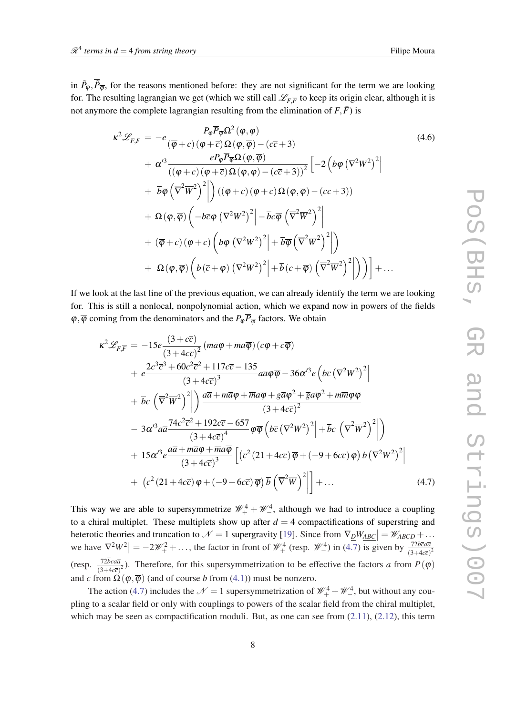in  $\tilde{P}_{\varphi}, \overline{\tilde{P}}_{\overline{\varphi}}$ , for the reasons mentioned before: they are not significant for the term we are looking for. The resulting lagrangian we get (which we still call  $\mathscr{L}_{F,\overline{F}}$  to keep its origin clear, although it is not anymore the complete lagrangian resulting from the elimination of  $F, \bar{F}$ ) is

$$
\kappa^{2} \mathscr{L}_{F,\overline{F}} = -e \frac{P_{\varphi} \overline{P_{\varphi} \Omega^{2}(\varphi, \overline{\varphi})}}{(\overline{\varphi} + c) (\varphi + \overline{c}) \Omega(\varphi, \overline{\varphi}) - (c\overline{c} + 3)}
$$
\n
$$
+ \alpha'^{3} \frac{e P_{\varphi} \overline{P_{\varphi} \Omega(\varphi, \overline{\varphi})}}{((\overline{\varphi} + c) (\varphi + \overline{c}) \Omega(\varphi, \overline{\varphi}) - (c\overline{c} + 3))^{2}} \left[ -2 \left( b\varphi (\nabla^{2} W^{2})^{2} \right) \right]
$$
\n
$$
+ \overline{b} \overline{\varphi} \left( \overline{\nabla}^{2} \overline{W}^{2} \right)^{2} \right) \left( (\overline{\varphi} + c) (\varphi + \overline{c}) \Omega(\varphi, \overline{\varphi}) - (c\overline{c} + 3) \right)
$$
\n
$$
+ \Omega(\varphi, \overline{\varphi}) \left( -b\overline{c} \varphi (\nabla^{2} W^{2})^{2} \right) - \overline{b} c \overline{\varphi} \left( \overline{\nabla}^{2} \overline{W}^{2} \right)^{2} \right]
$$
\n
$$
+ (\overline{\varphi} + c) (\varphi + \overline{c}) \left( b\varphi (\nabla^{2} W^{2})^{2} \right) + \overline{b} \overline{\varphi} \left( \overline{\nabla}^{2} \overline{W}^{2} \right)^{2} \right) \right)
$$
\n
$$
+ \Omega(\varphi, \overline{\varphi}) \left( b(\overline{c} + \varphi) (\nabla^{2} W^{2})^{2} \right) + \overline{b} (c + \overline{\varphi}) \left( \overline{\nabla}^{2} \overline{W}^{2} \right)^{2} \right) \Big) \Big) + \dots
$$
\n(4.6)

If we look at the last line of the previous equation, we can already identify the term we are looking for. This is still a nonlocal, nonpolynomial action, which we expand now in powers of the fields  $\varphi, \overline{\varphi}$  coming from the denominators and the  $P_{\varphi} \overline{P}_{\overline{\varphi}}$  factors. We obtain

$$
\kappa^2 \mathcal{L}_{F,\overline{F}} = -15e \frac{(3+c\overline{c})}{(3+4c\overline{c})^2} (m\overline{a}\varphi + \overline{m}a\overline{\varphi}) (c\varphi + \overline{c}\overline{\varphi}) \n+ e \frac{2c^3\overline{c}^3 + 60c^2\overline{c}^2 + 117c\overline{c} - 135}{(3+4c\overline{c})^3} a\overline{a}\varphi\overline{\varphi} - 36\alpha'^3 e \left(b\overline{c} (\nabla^2 W^2)^2\right) \n+ \overline{b}c \left(\overline{\nabla}^2 \overline{W}^2\right)^2 \Big| \frac{a\overline{a} + m\overline{a}\varphi + \overline{m}a\overline{\varphi} + g\overline{a}\varphi^2 + \overline{g}a\overline{\varphi}^2 + m\overline{m}\varphi\overline{\varphi}}{(3+4c\overline{c})^2} \n- 3\alpha'^3 a\overline{a} \frac{74c^2\overline{c}^2 + 192c\overline{c} - 657}{(3+4c\overline{c})^4} \varphi\overline{\varphi} \left(b\overline{c} (\nabla^2 W^2)^2\right) + \overline{b}c \left(\overline{\nabla}^2 \overline{W}^2\right)^2 \Big| \n+ 15\alpha'^3 e \frac{a\overline{a} + m\overline{a}\varphi + \overline{m}a\overline{\varphi}}{(3+4c\overline{c})^3} \left[ \left(\overline{c}^2 (21+4c\overline{c})\overline{\varphi} + (-9+6c\overline{c})\varphi\right) b \left(\nabla^2 W^2\right)^2 \right] \n+ \left(c^2 (21+4c\overline{c})\varphi + (-9+6c\overline{c})\overline{\varphi} \right) \overline{b} \left(\overline{\nabla}^2 \overline{W}\right)^2 \Big| + ... \qquad (4.7)
$$

This way we are able to supersymmetrize  $\mathcal{W}_+^4 + \mathcal{W}_-^4$ , although we had to introduce a coupling to a chiral multiplet. These multiplets show up after  $d = 4$  compactifications of superstring and heterotic theories and truncation to  $\mathcal{N} = 1$  supergravity [[19\]](#page-19-0). Since from  $\nabla_{\mathcal{D}}W_{\mathcal{A}\mathcal{B}\mathcal{C}} = \mathcal{W}_{\mathcal{A}\mathcal{B}\mathcal{C}\mathcal{D}} + \dots$ we have  $\nabla^2 W^2 = -2\mathcal{W}^2 + \dots$ , the factor in front of  $\mathcal{W}^4_+$  (resp.  $\mathcal{W}^4_-$ ) in (4.7) is given by  $\frac{72b\bar{c}a\bar{a}}{(3+4c\bar{c})^2}$ (resp.  $\frac{72bc\alpha\bar{a}}{(3+4c\bar{c})^2}$ ). Therefore, for this supersymmetrization to be effective the factors *a* from  $P(\varphi)$ and *c* from  $\Omega(\varphi,\overline{\varphi})$  (and of course *b* from [\(4.1\)](#page-5-0)) must be nonzero.

The action (4.7) includes the  $\mathcal{N} = 1$  supersymmetrization of  $\mathcal{W}_+^4 + \mathcal{W}_-^4$ , but without any coupling to a scalar field or only with couplings to powers of the scalar field from the chiral multiplet, which may be seen as compactification moduli. But, as one can see from  $(2.11)$  $(2.11)$ ,  $(2.12)$  $(2.12)$ , this term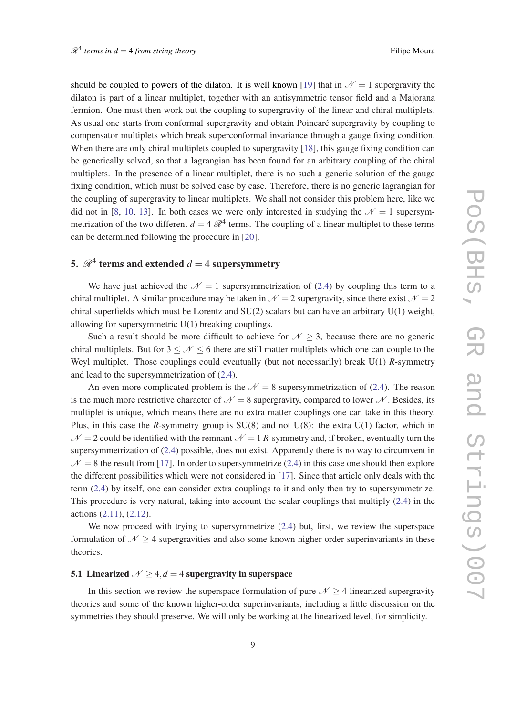should be coupled to powers of the dilaton. It is well known [[19\]](#page-19-0) that in  $\mathcal{N} = 1$  supergravity the dilaton is part of a linear multiplet, together with an antisymmetric tensor field and a Majorana fermion. One must then work out the coupling to supergravity of the linear and chiral multiplets. As usual one starts from conformal supergravity and obtain Poincaré supergravity by coupling to compensator multiplets which break superconformal invariance through a gauge fixing condition. When there are only chiral multiplets coupled to supergravity [[18](#page-19-0)], this gauge fixing condition can be generically solved, so that a lagrangian has been found for an arbitrary coupling of the chiral multiplets. In the presence of a linear multiplet, there is no such a generic solution of the gauge fixing condition, which must be solved case by case. Therefore, there is no generic lagrangian for the coupling of supergravity to linear multiplets. We shall not consider this problem here, like we did not in [\[8,](#page-18-0) [10,](#page-19-0) [13](#page-19-0)]. In both cases we were only interested in studying the  $\mathcal{N} = 1$  supersymmetrization of the two different  $d = 4 \mathcal{R}^4$  terms. The coupling of a linear multiplet to these terms can be determined following the procedure in [\[20](#page-19-0)].

# 5.  $\mathscr{R}^4$  terms and extended  $d=4$  supersymmetry

We have just achieved the  $\mathcal{N} = 1$  supersymmetrization of ([2.4](#page-2-0)) by coupling this term to a chiral multiplet. A similar procedure may be taken in  $\mathcal{N} = 2$  supergravity, since there exist  $\mathcal{N} = 2$ chiral superfields which must be Lorentz and SU(2) scalars but can have an arbitrary U(1) weight, allowing for supersymmetric U(1) breaking couplings.

Such a result should be more difficult to achieve for  $N \geq 3$ , because there are no generic chiral multiplets. But for  $3 \leq \mathcal{N} \leq 6$  there are still matter multiplets which one can couple to the Weyl multiplet. Those couplings could eventually (but not necessarily) break U(1) *R*-symmetry and lead to the supersymmetrization of ([2.4](#page-2-0)).

An even more complicated problem is the  $\mathcal{N} = 8$  supersymmetrization of ([2.4](#page-2-0)). The reason is the much more restrictive character of  $\mathcal{N} = 8$  supergravity, compared to lower  $\mathcal{N}$ . Besides, its multiplet is unique, which means there are no extra matter couplings one can take in this theory. Plus, in this case the *R*-symmetry group is SU(8) and not U(8): the extra U(1) factor, which in  $N = 2$  could be identified with the remnant  $N = 1$  *R*-symmetry and, if broken, eventually turn the supersymmetrization of ([2.4\)](#page-2-0) possible, does not exist. Apparently there is no way to circumvent in  $N = 8$  the result from [\[17\]](#page-19-0). In order to supersymmetrize ([2.4](#page-2-0)) in this case one should then explore the different possibilities which were not considered in [[17\]](#page-19-0). Since that article only deals with the term [\(2.4\)](#page-2-0) by itself, one can consider extra couplings to it and only then try to supersymmetrize. This procedure is very natural, taking into account the scalar couplings that multiply [\(2.4\)](#page-2-0) in the actions ([2.11\)](#page-3-0), [\(2.12\)](#page-3-0).

We now proceed with trying to supersymmetrize  $(2.4)$  $(2.4)$  but, first, we review the superspace formulation of  $N \geq 4$  supergravities and also some known higher order superinvariants in these theories.

#### 5.1 Linearized  $N \geq 4$ ,  $d = 4$  supergravity in superspace

In this section we review the superspace formulation of pure  $N > 4$  linearized supergravity theories and some of the known higher-order superinvariants, including a little discussion on the symmetries they should preserve. We will only be working at the linearized level, for simplicity.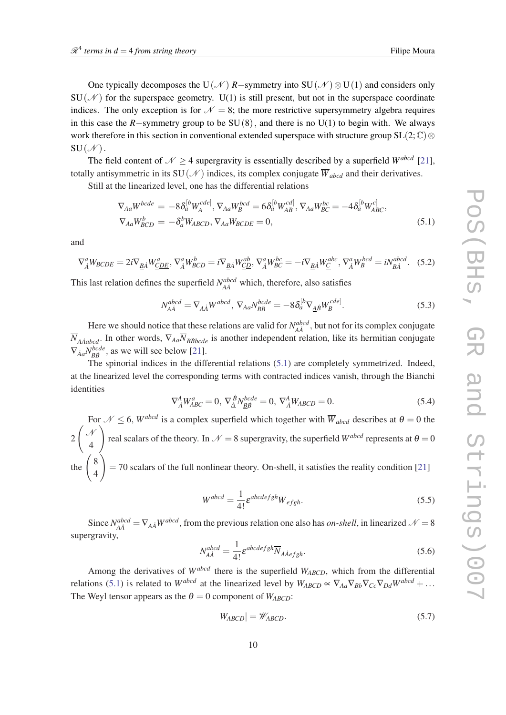<span id="page-9-0"></span>One typically decomposes the U(N)  $R$ −symmetry into SU(N)  $\otimes$ U(1) and considers only  $SU(\mathcal{N})$  for the superspace geometry. U(1) is still present, but not in the superspace coordinate indices. The only exception is for  $\mathcal{N} = 8$ ; the more restrictive supersymmetry algebra requires in this case the  $R$ −symmetry group to be  $SU(8)$ , and there is no  $U(1)$  to begin with. We always work therefore in this section in conventional extended superspace with structure group  $SL(2;\mathbb{C})\otimes$  $SU(\mathcal{N})$ .

The field content of  $N \geq 4$  supergravity is essentially described by a superfield *W*<sup>abcd</sup> [[21\]](#page-19-0), totally antisymmetric in its SU(N) indices, its complex conjugate  $\overline{W}_{abcd}$  and their derivatives.

Still at the linearized level, one has the differential relations

$$
\nabla_{Aa} W^{bcde} = -8\delta_a^{[b} W_A^{cde]}, \nabla_{Aa} W_B^{bcd} = 6\delta_a^{[b} W_{AB}^{cd]}, \nabla_{Aa} W_{BC}^{bc} = -4\delta_a^{[b} W_{ABC}^{c]},
$$
\n
$$
\nabla_{Aa} W_{BCD}^b = -\delta_a^b W_{ABCD}, \nabla_{Aa} W_{BCDE} = 0,
$$
\n(5.1)

and

$$
\nabla_{\dot{A}}^a W_{BCDE} = 2i \nabla_{\underline{B}\dot{A}} W_{\underline{CDE}}^a, \nabla_{\dot{A}}^a W_{BCD}^b = i \nabla_{\underline{B}\dot{A}} W_{\underline{C}\underline{D}}^{ab}, \nabla_{\dot{A}}^a W_{BC}^{bc} = -i \nabla_{\underline{B}\dot{A}} W_{\underline{C}}^{abc}, \nabla_{\dot{A}}^a W_{B}^{bcd} = i N_{\underline{B}\dot{A}}^{abcd}.
$$
 (5.2)

This last relation defines the superfield  $N_{A\dot{A}}^{abcd}$  which, therefore, also satisfies

$$
N_{A\dot{A}}^{abcd} = \nabla_{A\dot{A}} W^{abcd}, \nabla_{Aa} N_{B\dot{B}}^{bcde} = -8\delta_a^{[b} \nabla_{\underline{A}\dot{B}} W_{\underline{B}}^{cde]}.
$$
\n(5.3)

Here we should notice that these relations are valid for  $N_{AA}^{abcd}$ , but not for its complex conjugate  $\overline{N}_{A\dot{A}abcd}$ . In other words,  $\nabla_{Aa}\overline{N}_{B\dot{B}bcde}$  is another independent relation, like its hermitian conjugate  $\nabla_{\dot{A}a} N^{bcde}_{B\dot{B}}$ , as we will see below [\[21](#page-19-0)].

The spinorial indices in the differential relations (5.1) are completely symmetrized. Indeed, at the linearized level the corresponding terms with contracted indices vanish, through the Bianchi identities

$$
\nabla_{\dot{A}}^A W_{ABC}^a = 0, \ \nabla_{\underline{A}}^{\dot{B}} N_{\underline{B}\dot{B}}^{bcde} = 0, \ \nabla_{\dot{A}}^A W_{ABCD} = 0. \tag{5.4}
$$

For  $\mathcal{N} \leq 6$ , *W*<sup>abcd</sup> is a complex superfield which together with  $\overline{W}_{abcd}$  describes at  $\theta = 0$  the 2  $\int$ 4  $\setminus$ real scalars of the theory. In  $\mathcal{N} = 8$  supergravity, the superfield  $W^{abcd}$  represents at  $\theta = 0$ the  $\begin{pmatrix} 8 \\ 4 \end{pmatrix}$ 4  $\setminus$  $=$  70 scalars of the full nonlinear theory. On-shell, it satisfies the reality condition [[21\]](#page-19-0)

$$
W^{abcd} = \frac{1}{4!} \varepsilon^{abcdefgh} \overline{W}_{efgh}.
$$
\n(5.5)

Since  $N_{AA}^{abcd} = \nabla_{AA} W^{abcd}$ , from the previous relation one also has *on-shell*, in linearized  $\mathcal{N} = 8$ supergravity,

$$
N_{A\dot{A}}^{abcd} = \frac{1}{4!} \varepsilon^{abcdefgh} \overline{N}_{A\dot{A}efgh}.
$$
 (5.6)

Among the derivatives of *Wabcd* there is the superfield *WABCD*, which from the differential relations (5.1) is related to *W*<sup>*abcd*</sup> at the linearized level by  $W_{ABCD} \propto \nabla_{Aa} \nabla_{Bb} \nabla_{Cc} \nabla_{Dd} W^{abcd} + \dots$ The Weyl tensor appears as the  $\theta = 0$  component of  $W_{ABCD}$ :

$$
W_{ABCD}| = \mathscr{W}_{ABCD}.\tag{5.7}
$$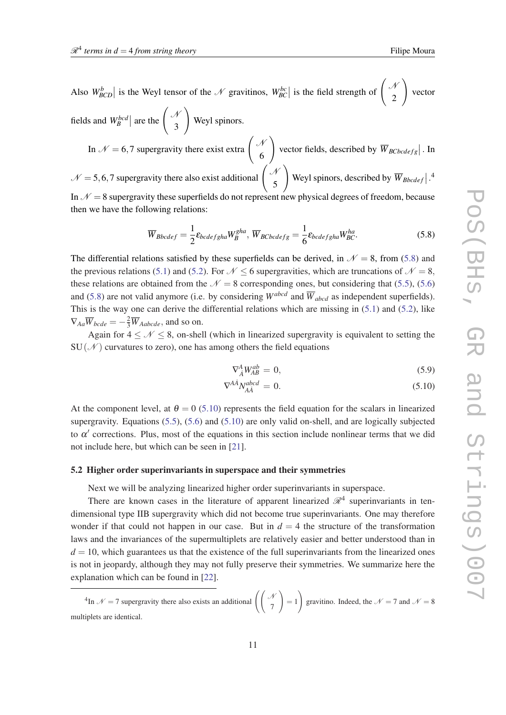<span id="page-10-0"></span>fields and  $W_B^{bcd}$  are the  $\begin{pmatrix} A \\ 3 \end{pmatrix}$ 3 Weyl spinors. In  $\mathcal{N} = 6.7$  supergravity there exist extra  $\begin{pmatrix} \mathcal{N} & \mathcal{N} \\ \mathcal{N} & \mathcal{N} \end{pmatrix}$ 6  $\setminus$ vector fields, described by  $\overline{W}_{BCbcdefg}$ . In  $\mathcal{N} = 5, 6, 7$  supergravity there also exist additional  $\begin{pmatrix} \mathcal{N} \\ \mathcal{N} \end{pmatrix}$ 5  $\setminus$ Weyl spinors, described by  $\overline{W}_{Bbcdef}|$ .<sup>4</sup> In  $\mathcal{N} = 8$  supergravity these superfields do not represent new physical degrees of freedom, because

then we have the following relations:

$$
\overline{W}_{Bbcdef} = \frac{1}{2} \varepsilon_{bcdefgha} W_B^{gha}, \overline{W}_{BCbcdefg} = \frac{1}{6} \varepsilon_{bcdefgha} W_{BC}^{ha}.
$$
\n(5.8)

The differential relations satisfied by these superfields can be derived, in  $\mathcal{N} = 8$ , from (5.8) and the previous relations [\(5.1\)](#page-9-0) and [\(5.2](#page-9-0)). For  $\mathcal{N} < 6$  supergravities, which are truncations of  $\mathcal{N} = 8$ , these relations are obtained from the  $\mathcal{N} = 8$  corresponding ones, but considering that ([5.5\)](#page-9-0), ([5.6](#page-9-0)) and (5.8) are not valid anymore (i.e. by considering  $W^{abcd}$  and  $\overline{W}_{abcd}$  as independent superfields). This is the way one can derive the differential relations which are missing in [\(5.1\)](#page-9-0) and [\(5.2\)](#page-9-0), like  $\nabla_{Aa}\overline{W}_{bcde} = -\frac{2}{3}\overline{W}_{Aabcde}$ , and so on.

Again for  $4 \leq \mathcal{N} \leq 8$ , on-shell (which in linearized supergravity is equivalent to setting the  $SU(\mathcal{N})$  curvatures to zero), one has among others the field equations

$$
\nabla_{\dot{A}}^A W_{AB}^{ab} = 0,\t\t(5.9)
$$

$$
\nabla^{A\dot{A}} N_{A\dot{A}}^{abcd} = 0. \tag{5.10}
$$

At the component level, at  $\theta = 0$  (5.10) represents the field equation for the scalars in linearized supergravity. Equations [\(5.5\)](#page-9-0), [\(5.6\)](#page-9-0) and (5.10) are only valid on-shell, and are logically subjected to  $\alpha'$  corrections. Plus, most of the equations in this section include nonlinear terms that we did not include here, but which can be seen in [[21\]](#page-19-0).

#### 5.2 Higher order superinvariants in superspace and their symmetries

Next we will be analyzing linearized higher order superinvariants in superspace.

There are known cases in the literature of apparent linearized  $\mathcal{R}^4$  superinvariants in tendimensional type IIB supergravity which did not become true superinvariants. One may therefore wonder if that could not happen in our case. But in  $d = 4$  the structure of the transformation laws and the invariances of the supermultiplets are relatively easier and better understood than in  $d = 10$ , which guarantees us that the existence of the full superinvariants from the linearized ones is not in jeopardy, although they may not fully preserve their symmetries. We summarize here the explanation which can be found in [\[22](#page-19-0)].

<sup>&</sup>lt;sup>4</sup>In  $\mathcal{N} = 7$  supergravity there also exists an additional  $\begin{pmatrix} \mathcal{N} \\ 7 \end{pmatrix}$  $\setminus$  $= 1$  $\setminus$ gravitino. Indeed, the  $\mathcal{N} = 7$  and  $\mathcal{N} = 8$ multiplets are identical.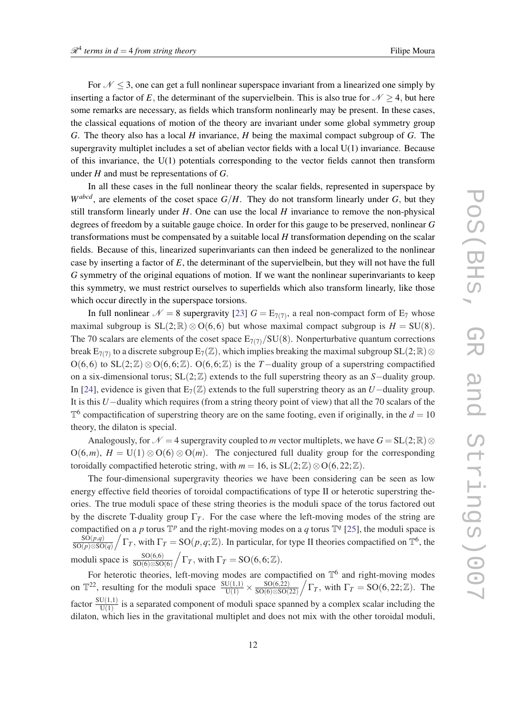For  $N \leq 3$ , one can get a full nonlinear superspace invariant from a linearized one simply by inserting a factor of *E*, the determinant of the supervielbein. This is also true for  $N \geq 4$ , but here some remarks are necessary, as fields which transform nonlinearly may be present. In these cases, the classical equations of motion of the theory are invariant under some global symmetry group *G*. The theory also has a local *H* invariance, *H* being the maximal compact subgroup of *G*. The supergravity multiplet includes a set of abelian vector fields with a local  $U(1)$  invariance. Because of this invariance, the U(1) potentials corresponding to the vector fields cannot then transform under *H* and must be representations of *G*.

In all these cases in the full nonlinear theory the scalar fields, represented in superspace by  $W^{abcd}$ , are elements of the coset space  $G/H$ . They do not transform linearly under  $G$ , but they still transform linearly under *H*. One can use the local *H* invariance to remove the non-physical degrees of freedom by a suitable gauge choice. In order for this gauge to be preserved, nonlinear *G* transformations must be compensated by a suitable local *H* transformation depending on the scalar fields. Because of this, linearized superinvariants can then indeed be generalized to the nonlinear case by inserting a factor of *E*, the determinant of the supervielbein, but they will not have the full *G* symmetry of the original equations of motion. If we want the nonlinear superinvariants to keep this symmetry, we must restrict ourselves to superfields which also transform linearly, like those which occur directly in the superspace torsions.

In full nonlinear  $\mathcal{N} = 8$  supergravity [[23\]](#page-19-0)  $G = E_{7(7)}$ , a real non-compact form of  $E_7$  whose maximal subgroup is  $SL(2;\mathbb{R})\otimes O(6,6)$  but whose maximal compact subgroup is  $H = SU(8)$ . The 70 scalars are elements of the coset space  $E_{7(7)}/SU(8)$ . Nonperturbative quantum corrections break  $E_{7(7)}$  to a discrete subgroup  $E_7(\mathbb{Z})$ , which implies breaking the maximal subgroup  $SL(2;\mathbb{R})$   $\otimes$ O(6,6) to SL(2;Z) ⊗ O(6,6;Z). O(6,6;Z) is the *T*-duality group of a superstring compactified on a six-dimensional torus; SL(2;Z) extends to the full superstring theory as an *S*−duality group. In [[24\]](#page-19-0), evidence is given that  $E_7(\mathbb{Z})$  extends to the full superstring theory as an *U*−duality group. It is this *U*−duality which requires (from a string theory point of view) that all the 70 scalars of the  $\mathbb{T}^6$  compactification of superstring theory are on the same footing, even if originally, in the  $d = 10$ theory, the dilaton is special.

Analogously, for  $\mathcal{N} = 4$  supergravity coupled to *m* vector multiplets, we have  $G = SL(2;\mathbb{R})\otimes$  $O(6,m)$ ,  $H = U(1) \otimes O(6) \otimes O(m)$ . The conjectured full duality group for the corresponding toroidally compactified heterotic string, with  $m = 16$ , is  $SL(2;\mathbb{Z})\otimes O(6,22;\mathbb{Z})$ .

The four-dimensional supergravity theories we have been considering can be seen as low energy effective field theories of toroidal compactifications of type II or heterotic superstring theories. The true moduli space of these string theories is the moduli space of the torus factored out by the discrete T-duality group  $\Gamma_T$ . For the case where the left-moving modes of the string are compactified on a p torus  $\mathbb{T}^p$  and the right-moving modes on a q torus  $\mathbb{T}^q$  [\[25](#page-19-0)], the moduli space is SO(*p*,*q*)  $\frac{\overline{SO(p,q)}}{\overline{SO(p)\otimes SO(q)}}\big/\Gamma_T$ , with  $\Gamma_T = SO(p,q;\mathbb{Z})$ . In particular, for type II theories compactified on  $\mathbb{T}^6$ , the moduli space is  $\frac{\text{SO}(6,6)}{\text{SO}(6)\otimes \text{SO}(6)} / \Gamma_T$ , with  $\Gamma_T = \text{SO}(6,6;\mathbb{Z})$ .

For heterotic theories, left-moving modes are compactified on  $\mathbb{T}^6$  and right-moving modes on  $\mathbb{T}^{22}$ , resulting for the moduli space  $\frac{\text{SU}(1,1)}{\text{U}(1)} \times \frac{\text{SO}(6,22)}{\text{SO}(6)\otimes \text{SO}(6)}$  $\frac{\text{SO}(6,22)}{\text{SO}(6)\otimes \text{SO}(22)}$   $\left(\Gamma_T, \text{ with } \Gamma_T = \text{SO}(6,22;\mathbb{Z}). \right)$  The factor  $\frac{SU(1,1)}{U(1)}$  is a separated component of moduli space spanned by a complex scalar including the dilaton, which lies in the gravitational multiplet and does not mix with the other toroidal moduli,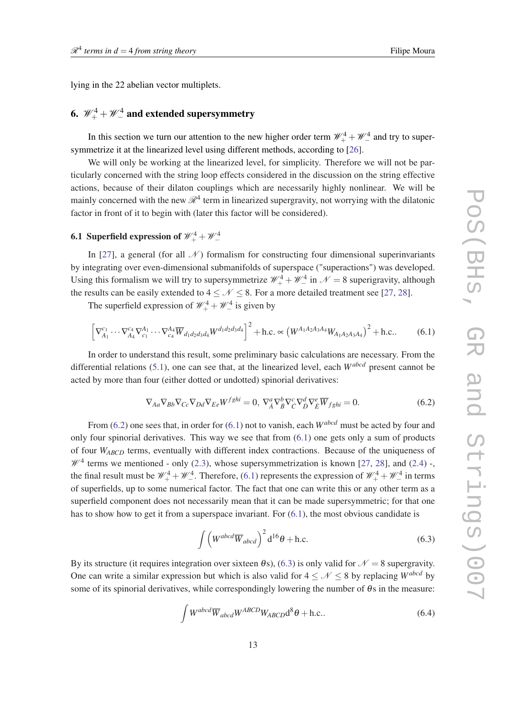<span id="page-12-0"></span>lying in the 22 abelian vector multiplets.

# 6.  $\mathscr{W}^4_+ + \mathscr{W}^4_-$  and extended supersymmetry

In this section we turn our attention to the new higher order term  $\mathcal{W}_+^4 + \mathcal{W}_-^4$  and try to supersymmetrize it at the linearized level using different methods, according to [\[26\]](#page-19-0).

We will only be working at the linearized level, for simplicity. Therefore we will not be particularly concerned with the string loop effects considered in the discussion on the string effective actions, because of their dilaton couplings which are necessarily highly nonlinear. We will be mainly concerned with the new  $\mathcal{R}^4$  term in linearized supergravity, not worrying with the dilatonic factor in front of it to begin with (later this factor will be considered).

## 6.1 Superfield expression of  $\mathscr{W}^4_+ + \mathscr{W}^4_-$

In [\[27](#page-19-0)], a general (for all  $\mathcal N$ ) formalism for constructing four dimensional superinvariants by integrating over even-dimensional submanifolds of superspace ("superactions") was developed. Using this formalism we will try to supersymmetrize  $\mathcal{W}_+^4 + \mathcal{W}_-^4$  in  $\mathcal{N} = 8$  superigravity, although the results can be easily extended to  $4 < \mathcal{N} < 8$ . For a more detailed treatment see [\[27](#page-19-0), [28](#page-19-0)].

The superfield expression of  $\mathcal{W}_+^4 + \mathcal{W}_-^4$  is given by

$$
\left[\nabla_{A_1}^{c_1} \cdots \nabla_{A_4}^{c_4} \nabla_{c_1}^{A_1} \cdots \nabla_{c_4}^{A_4} \overline{W}_{d_1 d_2 d_3 d_4} W^{d_1 d_2 d_3 d_4}\right]^2 + \text{h.c.} \propto \left(W^{A_1 A_2 A_3 A_4} W_{A_1 A_2 A_3 A_4}\right)^2 + \text{h.c.}. \tag{6.1}
$$

In order to understand this result, some preliminary basic calculations are necessary. From the differential relations [\(5.1](#page-9-0)), one can see that, at the linearized level, each *Wabcd* present cannot be acted by more than four (either dotted or undotted) spinorial derivatives:

$$
\nabla_{Aa}\nabla_{Bb}\nabla_{Cc}\nabla_{Dd}\nabla_{Ee}W^{fghi} = 0, \nabla_A^a\nabla_B^b\nabla_{\dot{C}}^c\nabla_{\dot{D}}^d\nabla_{\dot{E}}^e\overline{W}_{fghi} = 0.
$$
\n(6.2)

From (6.2) one sees that, in order for (6.1) not to vanish, each *Wabcd* must be acted by four and only four spinorial derivatives. This way we see that from  $(6.1)$  one gets only a sum of products of four *WABCD* terms, eventually with different index contractions. Because of the uniqueness of  $\mathcal{W}^4$  terms we mentioned - only ([2.3](#page-2-0)), whose supersymmetrization is known [[27,](#page-19-0) [28\]](#page-19-0), and [\(2.4\)](#page-2-0) -, the final result must be  $\mathcal{W}_+^4 + \mathcal{W}_-^4$ . Therefore, (6.1) represents the expression of  $\mathcal{W}_+^4 + \mathcal{W}_-^4$  in terms of superfields, up to some numerical factor. The fact that one can write this or any other term as a superfield component does not necessarily mean that it can be made supersymmetric; for that one has to show how to get it from a superspace invariant. For  $(6.1)$ , the most obvious candidate is

$$
\int \left( W^{abcd} \overline{W}_{abcd} \right)^2 d^{16} \theta + \text{h.c.}
$$
 (6.3)

By its structure (it requires integration over sixteen  $\theta$ s), (6.3) is only valid for  $\mathcal{N} = 8$  supergravity. One can write a similar expression but which is also valid for  $4 < \mathcal{N} < 8$  by replacing *W*<sup>abcd</sup> by some of its spinorial derivatives, while correspondingly lowering the number of  $\theta$ s in the measure:

$$
\int W^{abcd} \overline{W}_{abcd} W^{ABCD} W_{ABCD} d^8 \theta + \text{h.c.}.
$$
 (6.4)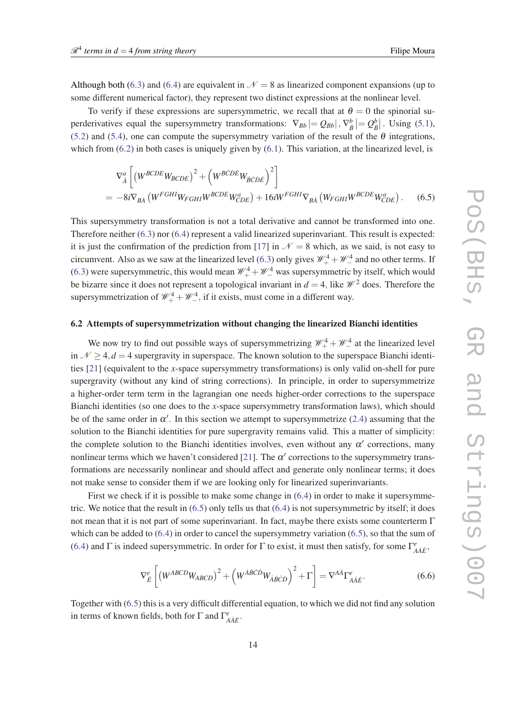<span id="page-13-0"></span>Although both [\(6.3\)](#page-12-0) and [\(6.4](#page-12-0)) are equivalent in  $\mathcal{N}=8$  as linearized component expansions (up to some different numerical factor), they represent two distinct expressions at the nonlinear level.

To verify if these expressions are supersymmetric, we recall that at  $\theta = 0$  the spinorial superderivatives equal the supersymmetry transformations:  $\nabla_{B_b} = Q_{B_b}$ ,  $\nabla^b_{\dot{B}} = Q^b_{\dot{B}}$ . Using ([5.1\)](#page-9-0), ([5.2\)](#page-9-0) and [\(5.4\)](#page-9-0), one can compute the supersymmetry variation of the result of the  $\theta$  integrations, which from  $(6.2)$  in both cases is uniquely given by  $(6.1)$ . This variation, at the linearized level, is

$$
\nabla_{\dot{A}}^{a} \left[ \left( W^{BCDE} W_{BCDE} \right)^{2} + \left( W^{\dot{B}\dot{C}\dot{D}\dot{E}} W_{\dot{B}\dot{C}\dot{D}\dot{E}} \right)^{2} \right]
$$
  
=  $-8i \nabla_{B\dot{A}} \left( W^{FGHI} W_{FGHI} W^{BCDE} W_{CDE}^{a} \right) + 16i W^{FGHI} \nabla_{B\dot{A}} \left( W_{FGHI} W^{BCDE} W_{CDE}^{a} \right).$  (6.5)

This supersymmetry transformation is not a total derivative and cannot be transformed into one. Therefore neither [\(6.3\)](#page-12-0) nor [\(6.4](#page-12-0)) represent a valid linearized superinvariant. This result is expected: it is just the confirmation of the prediction from [\[17](#page-19-0)] in  $\mathcal{N} = 8$  which, as we said, is not easy to circumvent. Also as we saw at the linearized level ([6.3](#page-12-0)) only gives  $\mathcal{W}_+^4 + \mathcal{W}_-^4$  and no other terms. If ([6.3\)](#page-12-0) were supersymmetric, this would mean  $\mathcal{W}_+^4 + \mathcal{W}_-^4$  was supersymmetric by itself, which would be bizarre since it does not represent a topological invariant in  $d = 4$ , like  $\mathcal{W}^2$  does. Therefore the supersymmetrization of  $\mathcal{W}_+^4 + \mathcal{W}_-^4$ , if it exists, must come in a different way.

#### 6.2 Attempts of supersymmetrization without changing the linearized Bianchi identities

We now try to find out possible ways of supersymmetrizing  $\mathcal{W}_+^4 + \mathcal{W}_-^4$  at the linearized level in  $N > 4$ ,  $d = 4$  supergravity in superspace. The known solution to the superspace Bianchi identities [[21\]](#page-19-0) (equivalent to the *x*-space supersymmetry transformations) is only valid on-shell for pure supergravity (without any kind of string corrections). In principle, in order to supersymmetrize a higher-order term term in the lagrangian one needs higher-order corrections to the superspace Bianchi identities (so one does to the *x*-space supersymmetry transformation laws), which should be of the same order in  $\alpha'$ . In this section we attempt to supersymmetrize ([2.4](#page-2-0)) assuming that the solution to the Bianchi identities for pure supergravity remains valid. This a matter of simplicity: the complete solution to the Bianchi identities involves, even without any  $\alpha'$  corrections, many nonlinear terms which we haven't considered [\[21](#page-19-0)]. The  $\alpha'$  corrections to the supersymmetry transformations are necessarily nonlinear and should affect and generate only nonlinear terms; it does not make sense to consider them if we are looking only for linearized superinvariants.

First we check if it is possible to make some change in  $(6.4)$  $(6.4)$  in order to make it supersymmetric. We notice that the result in (6.5) only tells us that ([6.4](#page-12-0)) is not supersymmetric by itself; it does not mean that it is not part of some superinvariant. In fact, maybe there exists some counterterm Γ which can be added to  $(6.4)$  $(6.4)$  $(6.4)$  in order to cancel the supersymmetry variation  $(6.5)$ , so that the sum of ([6.4\)](#page-12-0) and  $\Gamma$  is indeed supersymmetric. In order for  $\Gamma$  to exist, it must then satisfy, for some  $\Gamma^e_{A\dot{A}\dot{E}}$ ,

$$
\nabla_{\dot{E}}^{e} \left[ \left( W^{ABCD} W_{ABCD} \right)^{2} + \left( W^{\dot{A}\dot{B}\dot{C}\dot{D}} W_{\dot{A}\dot{B}\dot{C}\dot{D}} \right)^{2} + \Gamma \right] = \nabla^{A\dot{A}} \Gamma^{e}_{A\dot{A}\dot{E}}.
$$
 (6.6)

Together with (6.5) this is a very difficult differential equation, to which we did not find any solution in terms of known fields, both for  $\Gamma$  and  $\Gamma^e_{A\dot{A}\dot{E}}$ .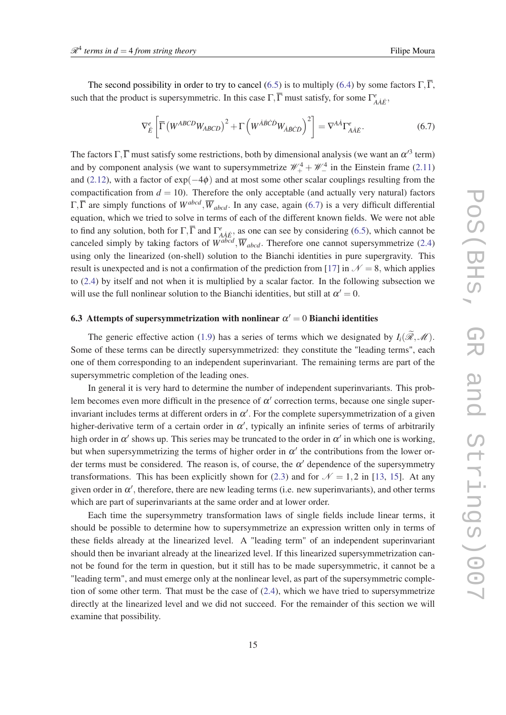The second possibility in order to try to cancel [\(6.5](#page-13-0)) is to multiply ([6.4](#page-12-0)) by some factors  $\Gamma, \overline{\Gamma}$ , such that the product is supersymmetric. In this case  $\Gamma$ ,  $\overline{\Gamma}$  must satisfy, for some  $\Gamma^e_{A\dot{A}\dot{E}}$ ,

$$
\nabla_{\dot{E}}^{e} \left[ \overline{\Gamma} \left( W^{ABCD} W_{ABCD} \right)^{2} + \Gamma \left( W^{\dot{A}\dot{B}\dot{C}\dot{D}} W_{\dot{A}\dot{B}\dot{C}\dot{D}} \right)^{2} \right] = \nabla^{A\dot{A}} \Gamma_{A\dot{A}\dot{E}}^{e}.
$$
\n(6.7)

The factors  $\Gamma$ ,  $\overline{\Gamma}$  must satisfy some restrictions, both by dimensional analysis (we want an  $\alpha'^3$  term) and by component analysis (we want to supersymmetrize  $\mathcal{W}_+^4 + \mathcal{W}_-^4$  in the Einstein frame [\(2.11](#page-3-0)) and ([2.12\)](#page-3-0), with a factor of  $exp(-4\phi)$  and at most some other scalar couplings resulting from the compactification from  $d = 10$ ). Therefore the only acceptable (and actually very natural) factors  $\Gamma$ ,  $\overline{\Gamma}$  are simply functions of  $W^{abcd}$ ,  $\overline{W}_{abcd}$ . In any case, again (6.7) is a very difficult differential equation, which we tried to solve in terms of each of the different known fields. We were not able to find any solution, both for  $\Gamma$ ,  $\overline{\Gamma}$  and  $\Gamma^e_{A\dot{A}\dot{E}}$ , as one can see by considering ([6.5\)](#page-13-0), which cannot be canceled simply by taking factors of  $W^{abcd}$ ,  $\overline{W}_{abcd}$ . Therefore one cannot supersymmetrize ([2.4](#page-2-0)) using only the linearized (on-shell) solution to the Bianchi identities in pure supergravity. This result is unexpected and is not a confirmation of the prediction from [\[17](#page-19-0)] in  $\mathcal{N} = 8$ , which applies to ([2.4](#page-2-0)) by itself and not when it is multiplied by a scalar factor. In the following subsection we will use the full nonlinear solution to the Bianchi identities, but still at  $\alpha' = 0$ .

### 6.3 Attempts of supersymmetrization with nonlinear  $\alpha' = 0$  Bianchi identities

The generic effective action [\(1.9\)](#page-2-0) has a series of terms which we designated by  $I_i(\widetilde{\mathscr{R}},\mathscr{M})$ . Some of these terms can be directly supersymmetrized: they constitute the "leading terms", each one of them corresponding to an independent superinvariant. The remaining terms are part of the supersymmetric completion of the leading ones.

In general it is very hard to determine the number of independent superinvariants. This problem becomes even more difficult in the presence of  $\alpha'$  correction terms, because one single superinvariant includes terms at different orders in  $\alpha'$ . For the complete supersymmetrization of a given higher-derivative term of a certain order in  $\alpha'$ , typically an infinite series of terms of arbitrarily high order in  $\alpha'$  shows up. This series may be truncated to the order in  $\alpha'$  in which one is working, but when supersymmetrizing the terms of higher order in  $\alpha'$  the contributions from the lower order terms must be considered. The reason is, of course, the  $\alpha'$  dependence of the supersymmetry transformations. This has been explicitly shown for [\(2.3\)](#page-2-0) and for  $\mathcal{N} = 1,2$  in [\[13](#page-19-0), [15](#page-19-0)]. At any given order in  $\alpha'$ , therefore, there are new leading terms (i.e. new superinvariants), and other terms which are part of superinvariants at the same order and at lower order.

Each time the supersymmetry transformation laws of single fields include linear terms, it should be possible to determine how to supersymmetrize an expression written only in terms of these fields already at the linearized level. A "leading term" of an independent superinvariant should then be invariant already at the linearized level. If this linearized supersymmetrization cannot be found for the term in question, but it still has to be made supersymmetric, it cannot be a "leading term", and must emerge only at the nonlinear level, as part of the supersymmetric completion of some other term. That must be the case of  $(2.4)$ , which we have tried to supersymmetrize directly at the linearized level and we did not succeed. For the remainder of this section we will examine that possibility.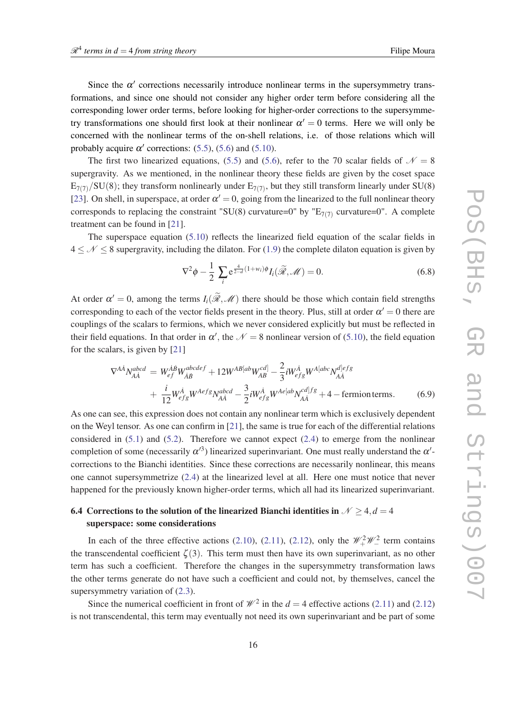<span id="page-15-0"></span>Since the  $\alpha'$  corrections necessarily introduce nonlinear terms in the supersymmetry transformations, and since one should not consider any higher order term before considering all the corresponding lower order terms, before looking for higher-order corrections to the supersymmetry transformations one should first look at their nonlinear  $\alpha' = 0$  terms. Here we will only be concerned with the nonlinear terms of the on-shell relations, i.e. of those relations which will probably acquire  $\alpha'$  corrections: [\(5.5](#page-9-0)), ([5.6](#page-9-0)) and ([5.10\)](#page-10-0).

The first two linearized equations, ([5.5](#page-9-0)) and ([5.6\)](#page-9-0), refer to the 70 scalar fields of  $\mathcal{N} = 8$ supergravity. As we mentioned, in the nonlinear theory these fields are given by the coset space  $E_{7(7)}/SU(8)$ ; they transform nonlinearly under  $E_{7(7)}$ , but they still transform linearly under SU(8) [[23\]](#page-19-0). On shell, in superspace, at order  $\alpha' = 0$ , going from the linearized to the full nonlinear theory corresponds to replacing the constraint "SU(8) curvature=0" by " $E_{7(7)}$  curvature=0". A complete treatment can be found in [\[21](#page-19-0)].

The superspace equation [\(5.10](#page-10-0)) reflects the linearized field equation of the scalar fields in  $4 < \mathcal{N} < 8$  supergravity, including the dilaton. For [\(1.9\)](#page-2-0) the complete dilaton equation is given by

$$
\nabla^2 \phi - \frac{1}{2} \sum_i e^{\frac{4}{2-d}(1+w_i)\phi} I_i(\widetilde{\mathcal{R}}, \mathcal{M}) = 0.
$$
 (6.8)

At order  $\alpha' = 0$ , among the terms  $I_i(\tilde{\mathcal{R}}, \mathcal{M})$  there should be those which contain field strengths corresponding to each of the vector fields present in the theory. Plus, still at order  $\alpha' = 0$  there are couplings of the scalars to fermions, which we never considered explicitly but must be reflected in their field equations. In that order in  $\alpha'$ , the  $\mathcal{N} = 8$  nonlinear version of ([5.10\)](#page-10-0), the field equation for the scalars, is given by [[21\]](#page-19-0)

$$
\nabla^{A\dot{A}}N_{A\dot{A}}^{abcd} = W_{ef}^{\dot{A}\dot{B}}W_{\dot{A}\dot{B}}^{abcdef} + 12W^{AB[ab}W_{AB}^{cd]} - \frac{2}{3}iW_{efg}^{\dot{A}}W^{A[abc}N_{A\dot{A}}^{d]efg} + \frac{i}{12}W_{efg}^{\dot{A}}W^{Aefg}N_{A\dot{A}}^{abcd} - \frac{3}{2}iW_{efg}^{\dot{A}}W^{Ae[ab}N_{A\dot{A}}^{cd]fg} + 4 - \text{fermion terms.}
$$
 (6.9)

As one can see, this expression does not contain any nonlinear term which is exclusively dependent on the Weyl tensor. As one can confirm in [\[21](#page-19-0)], the same is true for each of the differential relations considered in  $(5.1)$  and  $(5.2)$ . Therefore we cannot expect  $(2.4)$  $(2.4)$  $(2.4)$  to emerge from the nonlinear completion of some (necessarily  $\alpha'^3$ ) linearized superinvariant. One must really understand the  $\alpha'$ corrections to the Bianchi identities. Since these corrections are necessarily nonlinear, this means one cannot supersymmetrize [\(2.4\)](#page-2-0) at the linearized level at all. Here one must notice that never happened for the previously known higher-order terms, which all had its linearized superinvariant.

### 6.4 Corrections to the solution of the linearized Bianchi identities in  $\mathcal{N} \geq 4, d = 4$ superspace: some considerations

In each of the three effective actions [\(2.10](#page-3-0)), ([2.11\)](#page-3-0), [\(2.12](#page-3-0)), only the  $\mathcal{W}_+^2 \mathcal{W}_-^2$  term contains the transcendental coefficient  $\zeta(3)$ . This term must then have its own superinvariant, as no other term has such a coefficient. Therefore the changes in the supersymmetry transformation laws the other terms generate do not have such a coefficient and could not, by themselves, cancel the supersymmetry variation of [\(2.3\)](#page-2-0).

Since the numerical coefficient in front of  $\mathcal{W}^2$  in the  $d = 4$  effective actions [\(2.11\)](#page-3-0) and [\(2.12](#page-3-0)) is not transcendental, this term may eventually not need its own superinvariant and be part of some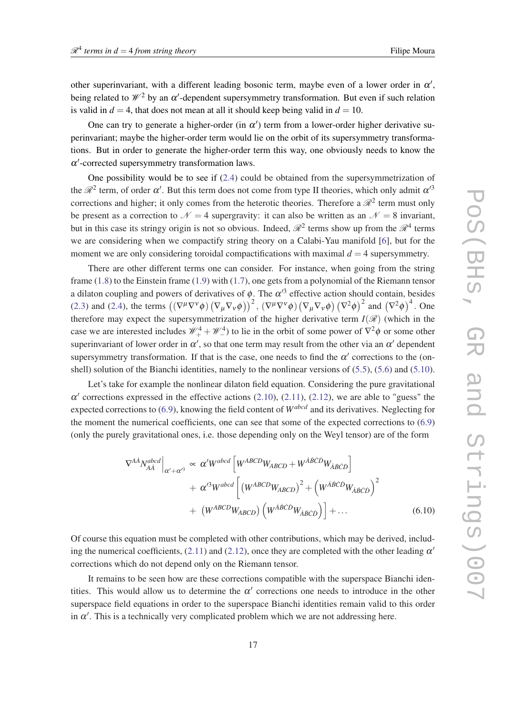<span id="page-16-0"></span>other superinvariant, with a different leading bosonic term, maybe even of a lower order in  $\alpha'$ , being related to  $\mathcal{W}^2$  by an  $\alpha'$ -dependent supersymmetry transformation. But even if such relation is valid in  $d = 4$ , that does not mean at all it should keep being valid in  $d = 10$ .

One can try to generate a higher-order (in  $\alpha'$ ) term from a lower-order higher derivative superinvariant; maybe the higher-order term would lie on the orbit of its supersymmetry transformations. But in order to generate the higher-order term this way, one obviously needs to know the  $\alpha'$ -corrected supersymmetry transformation laws.

One possibility would be to see if [\(2.4](#page-2-0)) could be obtained from the supersymmetrization of the  $\mathcal{R}^2$  term, of order  $\alpha'$ . But this term does not come from type II theories, which only admit  $\alpha'^3$ corrections and higher; it only comes from the heterotic theories. Therefore a  $\mathcal{R}^2$  term must only be present as a correction to  $\mathcal{N} = 4$  supergravity: it can also be written as an  $\mathcal{N} = 8$  invariant, but in this case its stringy origin is not so obvious. Indeed,  $\mathcal{R}^2$  terms show up from the  $\mathcal{R}^4$  terms we are considering when we compactify string theory on a Calabi-Yau manifold [\[6\]](#page-18-0), but for the moment we are only considering toroidal compactifications with maximal  $d = 4$  supersymmetry.

There are other different terms one can consider. For instance, when going from the string frame ([1.8](#page-2-0)) to the Einstein frame ([1.9](#page-2-0)) with [\(1.7\)](#page-1-0), one gets from a polynomial of the Riemann tensor a dilaton coupling and powers of derivatives of  $\phi$ . The  $\alpha'^3$  effective action should contain, besides ([2.3\)](#page-2-0) and [\(2.4](#page-2-0)), the terms  $((\nabla^{\mu}\nabla^{\nu}\phi)(\nabla_{\mu}\nabla_{\nu}\phi))^2$ ,  $(\nabla^{\mu}\nabla^{\nu}\phi)(\nabla_{\mu}\nabla_{\nu}\phi)(\nabla^2\phi)^2$  and  $(\nabla^2\phi)^4$ . One therefore may expect the supersymmetrization of the higher derivative term  $I(\mathcal{R})$  (which in the case we are interested includes  $\mathcal{W}_+^4 + \mathcal{W}_-^4$ ) to lie in the orbit of some power of  $\nabla^2 \phi$  or some other superinvariant of lower order in  $\alpha'$ , so that one term may result from the other via an  $\alpha'$  dependent supersymmetry transformation. If that is the case, one needs to find the  $\alpha'$  corrections to the (onshell) solution of the Bianchi identities, namely to the nonlinear versions of [\(5.5\)](#page-9-0), [\(5.6](#page-9-0)) and [\(5.10\)](#page-10-0).

Let's take for example the nonlinear dilaton field equation. Considering the pure gravitational  $\alpha'$  corrections expressed in the effective actions [\(2.10](#page-3-0)), ([2.11\)](#page-3-0), [\(2.12](#page-3-0)), we are able to "guess" the expected corrections to ([6.9\)](#page-15-0), knowing the field content of *Wabcd* and its derivatives. Neglecting for the moment the numerical coefficients, one can see that some of the expected corrections to ([6.9](#page-15-0)) (only the purely gravitational ones, i.e. those depending only on the Weyl tensor) are of the form

$$
\nabla^{AA} N_{A\dot{A}}^{abcd} \Big|_{\alpha' + \alpha'^3} \propto \alpha' W^{abcd} \left[ W^{ABCD} W_{ABCD} + W^{\dot{A}\dot{B}\dot{C}\dot{D}} W_{\dot{A}\dot{B}\dot{C}\dot{D}} \right] + \alpha'^3 W^{abcd} \left[ \left( W^{ABCD} W_{ABCD} \right)^2 + \left( W^{\dot{A}\dot{B}\dot{C}\dot{D}} W_{\dot{A}\dot{B}\dot{C}\dot{D}} \right)^2 + \left( W^{ABCD} W_{ABCD} \right) \left( W^{\dot{A}\dot{B}\dot{C}\dot{D}} W_{\dot{A}\dot{B}\dot{C}\dot{D}} \right) \right] + \dots
$$
 (6.10)

Of course this equation must be completed with other contributions, which may be derived, includ-ing the numerical coefficients, ([2.11\)](#page-3-0) and ([2.12](#page-3-0)), once they are completed with the other leading  $\alpha'$ corrections which do not depend only on the Riemann tensor.

It remains to be seen how are these corrections compatible with the superspace Bianchi identities. This would allow us to determine the  $\alpha'$  corrections one needs to introduce in the other superspace field equations in order to the superspace Bianchi identities remain valid to this order in  $\alpha'$ . This is a technically very complicated problem which we are not addressing here.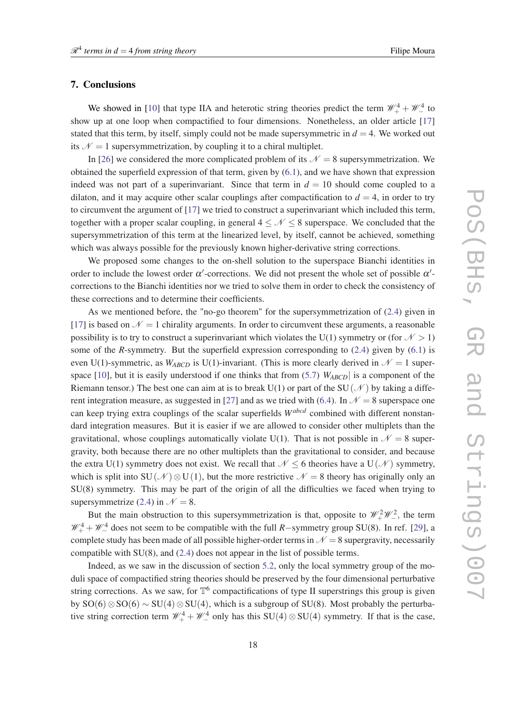### 7. Conclusions

We showed in [[10\]](#page-19-0) that type IIA and heterotic string theories predict the term  $\mathcal{W}_+^4 + \mathcal{W}_-^4$  to show up at one loop when compactified to four dimensions. Nonetheless, an older article [\[17](#page-19-0)] stated that this term, by itself, simply could not be made supersymmetric in  $d = 4$ . We worked out its  $N = 1$  supersymmetrization, by coupling it to a chiral multiplet.

In [\[26](#page-19-0)] we considered the more complicated problem of its  $\mathcal{N} = 8$  supersymmetrization. We obtained the superfield expression of that term, given by [\(6.1](#page-12-0)), and we have shown that expression indeed was not part of a superinvariant. Since that term in  $d = 10$  should come coupled to a dilaton, and it may acquire other scalar couplings after compactification to  $d = 4$ , in order to try to circumvent the argument of [[17\]](#page-19-0) we tried to construct a superinvariant which included this term, together with a proper scalar coupling, in general  $4 \leq \mathcal{N} \leq 8$  superspace. We concluded that the supersymmetrization of this term at the linearized level, by itself, cannot be achieved, something which was always possible for the previously known higher-derivative string corrections.

We proposed some changes to the on-shell solution to the superspace Bianchi identities in order to include the lowest order  $\alpha'$ -corrections. We did not present the whole set of possible  $\alpha'$ corrections to the Bianchi identities nor we tried to solve them in order to check the consistency of these corrections and to determine their coefficients.

As we mentioned before, the "no-go theorem" for the supersymmetrization of ([2.4](#page-2-0)) given in [[17\]](#page-19-0) is based on  $\mathcal{N} = 1$  chirality arguments. In order to circumvent these arguments, a reasonable possibility is to try to construct a superinvariant which violates the U(1) symmetry or (for  $N > 1$ ) some of the *R*-symmetry. But the superfield expression corresponding to [\(2.4\)](#page-2-0) given by ([6.1](#page-12-0)) is even U(1)-symmetric, as  $W_{ABCD}$  is U(1)-invariant. (This is more clearly derived in  $\mathcal{N} = 1$  super-space [\[10](#page-19-0)], but it is easily understood if one thinks that from ([5.7\)](#page-9-0)  $W_{ABCD}$  is a component of the Riemann tensor.) The best one can aim at is to break U(1) or part of the SU( $\mathcal N$ ) by taking a diffe-rent integration measure, as suggested in [[27\]](#page-19-0) and as we tried with [\(6.4\)](#page-12-0). In  $\mathcal{N} = 8$  superspace one can keep trying extra couplings of the scalar superfields *Wabcd* combined with different nonstandard integration measures. But it is easier if we are allowed to consider other multiplets than the gravitational, whose couplings automatically violate U(1). That is not possible in  $\mathcal{N} = 8$  supergravity, both because there are no other multiplets than the gravitational to consider, and because the extra U(1) symmetry does not exist. We recall that  $\mathcal{N}$  < 6 theories have a U( $\mathcal{N}$ ) symmetry, which is split into SU( $\mathcal{N}$ ) ⊗U(1), but the more restrictive  $\mathcal{N} = 8$  theory has originally only an SU(8) symmetry. This may be part of the origin of all the difficulties we faced when trying to supersymmetrize [\(2.4\)](#page-2-0) in  $\mathcal{N} = 8$ .

But the main obstruction to this supersymmetrization is that, opposite to  $\mathcal{W}_+^2 \mathcal{W}_-^2$ , the term *W*<sup>4</sup> + *W*<sup>4</sup> does not seem to be compatible with the full *R*−symmetry group SU(8). In ref. [[29\]](#page-19-0), a complete study has been made of all possible higher-order terms in  $\mathcal{N} = 8$  supergravity, necessarily compatible with SU(8), and ([2.4\)](#page-2-0) does not appear in the list of possible terms.

Indeed, as we saw in the discussion of section [5.2](#page-10-0), only the local symmetry group of the moduli space of compactified string theories should be preserved by the four dimensional perturbative string corrections. As we saw, for  $\mathbb{T}^6$  compactifications of type II superstrings this group is given by SO(6) ⊗SO(6) ~ SU(4) ⊗SU(4), which is a subgroup of SU(8). Most probably the perturbative string correction term  $\mathcal{W}_+^4 + \mathcal{W}_-^4$  only has this SU(4)  $\otimes$  SU(4) symmetry. If that is the case,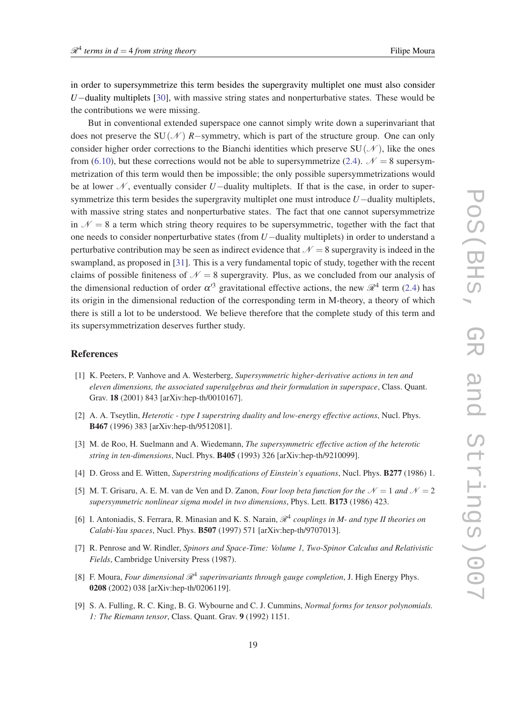<span id="page-18-0"></span>in order to supersymmetrize this term besides the supergravity multiplet one must also consider *U*−duality multiplets [[30\]](#page-19-0), with massive string states and nonperturbative states. These would be the contributions we were missing.

But in conventional extended superspace one cannot simply write down a superinvariant that does not preserve the SU( $N$ ) *R*−symmetry, which is part of the structure group. One can only consider higher order corrections to the Bianchi identities which preserve  $SU(\mathcal{N})$ , like the ones from [\(6.10](#page-16-0)), but these corrections would not be able to supersymmetrize ([2.4](#page-2-0)).  $\mathcal{N} = 8$  supersymmetrization of this term would then be impossible; the only possible supersymmetrizations would be at lower  $N$ , eventually consider *U* $-$ duality multiplets. If that is the case, in order to supersymmetrize this term besides the supergravity multiplet one must introduce *U*−duality multiplets, with massive string states and nonperturbative states. The fact that one cannot supersymmetrize in  $\mathcal{N} = 8$  a term which string theory requires to be supersymmetric, together with the fact that one needs to consider nonperturbative states (from *U*−duality multiplets) in order to understand a perturbative contribution may be seen as indirect evidence that  $\mathcal{N} = 8$  supergravity is indeed in the swampland, as proposed in [[31\]](#page-19-0). This is a very fundamental topic of study, together with the recent claims of possible finiteness of  $\mathcal{N} = 8$  supergravity. Plus, as we concluded from our analysis of the dimensional reduction of order  $\alpha'^3$  gravitational effective actions, the new  $\mathcal{R}^4$  term ([2.4](#page-2-0)) has its origin in the dimensional reduction of the corresponding term in M-theory, a theory of which there is still a lot to be understood. We believe therefore that the complete study of this term and its supersymmetrization deserves further study.

#### References

- [1] K. Peeters, P. Vanhove and A. Westerberg, *Supersymmetric higher-derivative actions in ten and eleven dimensions, the associated superalgebras and their formulation in superspace*, Class. Quant. Grav. 18 (2001) 843 [arXiv:hep-th/0010167].
- [2] A. A. Tseytlin, *Heterotic type I superstring duality and low-energy effective actions*, Nucl. Phys. B467 (1996) 383 [arXiv:hep-th/9512081].
- [3] M. de Roo, H. Suelmann and A. Wiedemann, *The supersymmetric effective action of the heterotic string in ten-dimensions*, Nucl. Phys. B405 (1993) 326 [arXiv:hep-th/9210099].
- [4] D. Gross and E. Witten, *Superstring modifications of Einstein's equations*, Nucl. Phys. B277 (1986) 1.
- [5] M. T. Grisaru, A. E. M. van de Ven and D. Zanon, *Four loop beta function for the*  $N = 1$  *and*  $N = 2$ *supersymmetric nonlinear sigma model in two dimensions*, Phys. Lett. B173 (1986) 423.
- [6] I. Antoniadis, S. Ferrara, R. Minasian and K. S. Narain,  $\mathcal{R}^4$  couplings in M- and type II theories on *Calabi-Yau spaces*, Nucl. Phys. B507 (1997) 571 [arXiv:hep-th/9707013].
- [7] R. Penrose and W. Rindler, *Spinors and Space-Time: Volume 1, Two-Spinor Calculus and Relativistic Fields*, Cambridge University Press (1987).
- [8] F. Moura, *Four dimensional*  $\mathcal{R}^4$  *superinvariants through gauge completion*, J. High Energy Phys. 0208 (2002) 038 [arXiv:hep-th/0206119].
- [9] S. A. Fulling, R. C. King, B. G. Wybourne and C. J. Cummins, *Normal forms for tensor polynomials. 1: The Riemann tensor*, Class. Quant. Grav. 9 (1992) 1151.